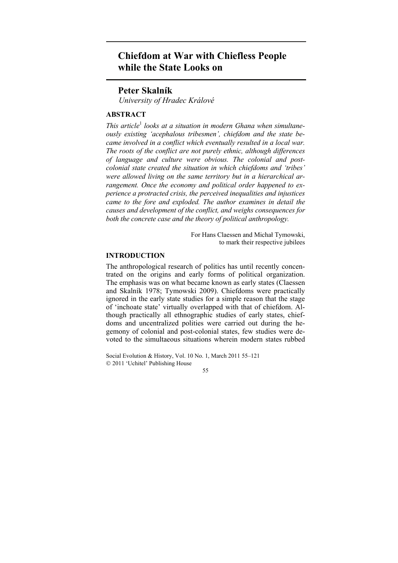# **Chiefdom at War with Chiefless People while the State Looks on**

# **Peter Skalník**

*University of Hradec Králové* 

# **ABSTRACT**

This article<sup>1</sup> looks at a situation in modern Ghana when simultane*ously existing 'acephalous tribesmen', chiefdom and the state became involved in a conflict which eventually resulted in a local war. The roots of the conflict are not purely ethnic, although differences of language and culture were obvious. The colonial and postcolonial state created the situation in which chiefdoms and 'tribes' were allowed living on the same territory but in a hierarchical arrangement. Once the economy and political order happened to experience a protracted crisis, the perceived inequalities and injustices came to the fore and exploded. The author examines in detail the causes and development of the conflict, and weighs consequences for both the concrete case and the theory of political anthropology.* 

> For Hans Claessen and Michał Tymowski, to mark their respective jubilees

# **INTRODUCTION**

The anthropological research of politics has until recently concentrated on the origins and early forms of political organization. The emphasis was on what became known as early states (Claessen and Skalník 1978; Tymowski 2009). Chiefdoms were practically ignored in the early state studies for a simple reason that the stage of 'inchoate state' virtually overlapped with that of chiefdom. Although practically all ethnographic studies of early states, chiefdoms and uncentralized polities were carried out during the hegemony of colonial and post-colonial states, few studies were devoted to the simultaeous situations wherein modern states rubbed

Social Evolution & History, Vol. 10 No. 1, March 2011 55–121 2011 'Uchitel' Publishing House

55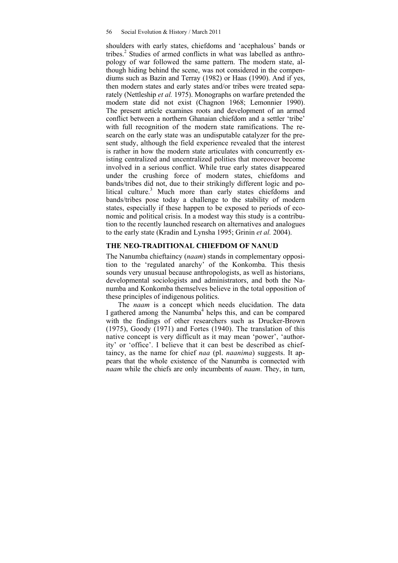shoulders with early states, chiefdoms and 'acephalous' bands or tribes.<sup>2</sup> Studies of armed conflicts in what was labelled as anthropology of war followed the same pattern. The modern state, although hiding behind the scene, was not considered in the compendiums such as Bazin and Terray (1982) or Haas (1990). And if yes, then modern states and early states and/or tribes were treated separately (Nettleship *et al.* 1975). Monographs on warfare pretended the modern state did not exist (Chagnon 1968; Lemonnier 1990). The present article examines roots and development of an armed conflict between a northern Ghanaian chiefdom and a settler 'tribe' with full recognition of the modern state ramifications. The research on the early state was an undisputable catalyzer for the present study, although the field experience revealed that the interest is rather in how the modern state articulates with concurrently existing centralized and uncentralized polities that moreover become involved in a serious conflict. While true early states disappeared under the crushing force of modern states, chiefdoms and bands/tribes did not, due to their strikingly different logic and political culture.<sup>3</sup> Much more than early states chiefdoms and bands/tribes pose today a challenge to the stability of modern states, especially if these happen to be exposed to periods of economic and political crisis. In a modest way this study is a contribution to the recently launched research on alternatives and analogues to the early state (Kradin and Lynsha 1995; Grinin *et al.* 2004).

## **THE NEO-TRADITIONAL CHIEFDOM OF NANUŊ**

The Nanumba chieftaincy (*naam*) stands in complementary opposition to the 'regulated anarchy' of the Konkomba. This thesis sounds very unusual because anthropologists, as well as historians, developmental sociologists and administrators, and both the Nanumba and Konkomba themselves believe in the total opposition of these principles of indigenous politics.

The *naam* is a concept which needs elucidation. The data I gathered among the Nanumba<sup>4</sup> helps this, and can be compared with the findings of other researchers such as Drucker-Brown (1975), Goody (1971) and Fortes (1940). The translation of this native concept is very difficult as it may mean 'power', 'authority' or 'office'. I believe that it can best be described as chieftaincy, as the name for chief *naa* (pl. *naanima*) suggests. It appears that the whole existence of the Nanumba is connected with *naam* while the chiefs are only incumbents of *naam*. They, in turn,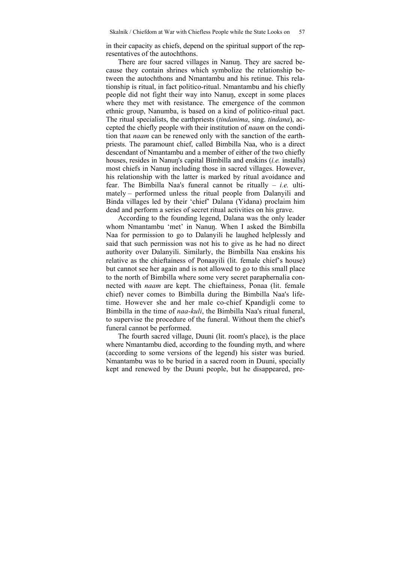in their capacity as chiefs, depend on the spiritual support of the representatives of the autochthons.

There are four sacred villages in Nanuŋ. They are sacred because they contain shrines which symbolize the relationship between the autochthons and Nmantambu and his retinue. This relationship is ritual, in fact politico-ritual. Nmantambu and his chiefly people did not fight their way into Nanuŋ, except in some places where they met with resistance. The emergence of the common ethnic group, Nanumba, is based on a kind of politico-ritual pact. The ritual specialists, the earthpriests (*tindanima*, sing. *tindana*), accepted the chiefly people with their institution of *naam* on the condition that *naam* can be renewed only with the sanction of the earthpriests. The paramount chief, called Bimbilla Naa, who is a direct descendant of Nmantambu and a member of either of the two chiefly houses, resides in Nanuŋ's capital Bimbilla and enskins (*i.e.* installs) most chiefs in Nanuŋ including those in sacred villages. However, his relationship with the latter is marked by ritual avoidance and fear. The Bimbilla Naa's funeral cannot be ritually – *i.e.* ultimately – performed unless the ritual people from Dalanyili and Binda villages led by their 'chief' Dalana (Yidana) proclaim him dead and perform a series of secret ritual activities on his grave.

According to the founding legend, Dalana was the only leader whom Nmantambu 'met' in Nanun. When I asked the Bimbilla Naa for permission to go to Dalanyili he laughed helplessly and said that such permission was not his to give as he had no direct authority over Dalanyili. Similarly, the Bimbilla Naa enskins his relative as the chieftainess of Ponaayili (lit. female chief's house) but cannot see her again and is not allowed to go to this small place to the north of Bimbilla where some very secret paraphernalia connected with *naam* are kept. The chieftainess, Ponaa (lit. female chief) never comes to Bimbilla during the Bimbilla Naa's lifetime. However she and her male co-chief Kpandigli come to Bimbilla in the time of *naa-kuli*, the Bimbilla Naa's ritual funeral, to supervise the procedure of the funeral. Without them the chief's funeral cannot be performed.

The fourth sacred village, Duuni (lit. room's place), is the place where Nmantambu died, according to the founding myth, and where (according to some versions of the legend) his sister was buried. Nmantambu was to be buried in a sacred room in Duuni, specially kept and renewed by the Duuni people, but he disappeared, pre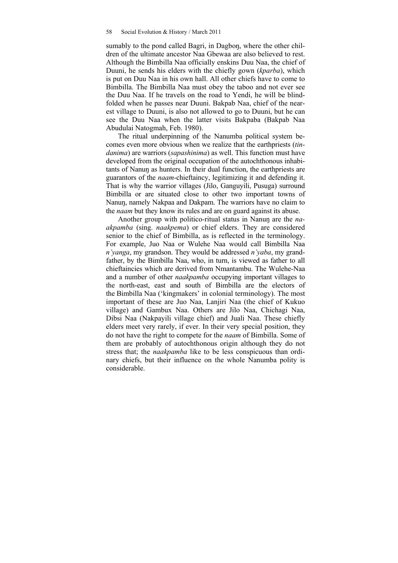sumably to the pond called Bagri, in Dagboŋ, where the other children of the ultimate ancestor Naa Gbewaa are also believed to rest. Although the Bimbilla Naa officially enskins Duu Naa, the chief of Duuni, he sends his elders with the chiefly gown (*kparba*), which is put on Duu Naa in his own hall. All other chiefs have to come to Bimbilla. The Bimbilla Naa must obey the taboo and not ever see the Duu Naa. If he travels on the road to Yendi, he will be blindfolded when he passes near Duuni. Bakpab Naa, chief of the nearest village to Duuni, is also not allowed to go to Duuni, but he can see the Duu Naa when the latter visits Bakpaba (Bakpab Naa Abudulai Natogmah, Feb. 1980).

The ritual underpinning of the Nanumba political system becomes even more obvious when we realize that the earthpriests (*tindanima*) are warriors (*sapashinima*) as well. This function must have developed from the original occupation of the autochthonous inhabitants of Nanuŋ as hunters. In their dual function, the earthpriests are guarantors of the *naam*-chieftaincy, legitimizing it and defending it. That is why the warrior villages (Jilo, Ganguyili, Pusuga) surround Bimbilla or are situated close to other two important towns of Nanuŋ, namely Nakpaa and Dakpam. The warriors have no claim to the *naam* but they know its rules and are on guard against its abuse.

Another group with politico-ritual status in Nanuŋ are the *naakpamba* (sing. *naakpema*) or chief elders. They are considered senior to the chief of Bimbilla, as is reflected in the terminology. For example, Juo Naa or Wulehe Naa would call Bimbilla Naa *n'yanga*, my grandson. They would be addressed *n'yaba*, my grandfather, by the Bimbilla Naa, who, in turn, is viewed as father to all chieftaincies which are derived from Nmantambu. The Wulehe-Naa and a number of other *naakpamba* occupying important villages to the north-east, east and south of Bimbilla are the electors of the Bimbilla Naa ('kingmakers' in colonial terminology). The most important of these are Juo Naa, Lanjiri Naa (the chief of Kukuo village) and Gambux Naa. Others are Jilo Naa, Chichagi Naa, Dibsi Naa (Nakpayili village chief) and Juali Naa. These chiefly elders meet very rarely, if ever. In their very special position, they do not have the right to compete for the *naam* of Bimbilla. Some of them are probably of autochthonous origin although they do not stress that; the *naakpamba* like to be less conspicuous than ordinary chiefs, but their influence on the whole Nanumba polity is considerable.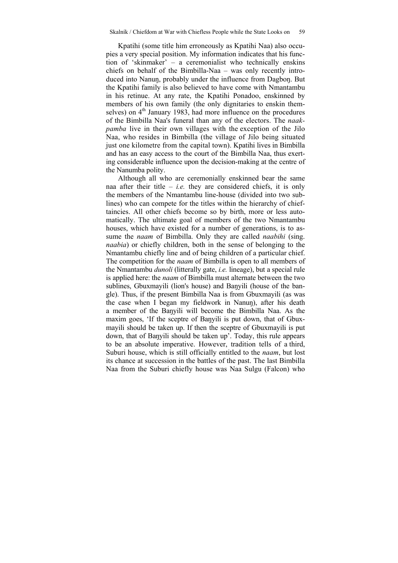Kpatihi (some title him erroneously as Kpatihi Naa) also occupies a very special position. My information indicates that his function of 'skinmaker' – a ceremonialist who technically enskins chiefs on behalf of the Bimbilla-Naa – was only recently introduced into Nanuŋ, probably under the influence from Dagboŋ. But the Kpatihi family is also believed to have come with Nmantambu in his retinue. At any rate, the Kpatihi Ponadoo, enskinned by members of his own family (the only dignitaries to enskin themselves) on  $4<sup>th</sup>$  January 1983, had more influence on the procedures of the Bimbilla Naa's funeral than any of the electors. The *naakpamba* live in their own villages with the exception of the Jilo Naa, who resides in Bimbilla (the village of Jilo being situated just one kilometre from the capital town). Kpatihi lives in Bimbilla and has an easy access to the court of the Bimbilla Naa, thus exerting considerable influence upon the decision-making at the centre of the Nanumba polity.

Although all who are ceremonially enskinned bear the same naa after their title  $-$  *i.e.* they are considered chiefs, it is only the members of the Nmantambu line-house (divided into two sublines) who can compete for the titles within the hierarchy of chieftaincies. All other chiefs become so by birth, more or less automatically. The ultimate goal of members of the two Nmantambu houses, which have existed for a number of generations, is to assume the *naam* of Bimbilla. Only they are called *naabihi* (sing. *naabia*) or chiefly children, both in the sense of belonging to the Nmantambu chiefly line and of being children of a particular chief. The competition for the *naam* of Bimbilla is open to all members of the Nmantambu *dunoli* (litterally gate, *i.e.* lineage), but a special rule is applied here: the *naam* of Bimbilla must alternate between the two sublines, Gbuxmayili (lion's house) and Banyili (house of the bangle). Thus, if the present Bimbilla Naa is from Gbuxmayili (as was the case when I began my fieldwork in Nanuŋ), after his death a member of the Baŋyili will become the Bimbilla Naa. As the maxim goes, 'If the sceptre of Baŋyili is put down, that of Gbuxmayili should be taken up. If then the sceptre of Gbuxmayili is put down, that of Baŋyili should be taken up'. Today, this rule appears to be an absolute imperative. However, tradition tells of a third, Suburi house, which is still officially entitled to the *naam*, but lost its chance at succession in the battles of the past. The last Bimbilla Naa from the Suburi chiefly house was Naa Sulgu (Falcon) who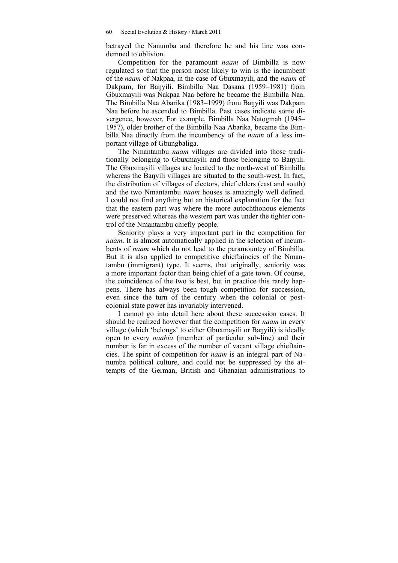betrayed the Nanumba and therefore he and his line was condemned to oblivion.

Competition for the paramount *naam* of Bimbilla is now regulated so that the person most likely to win is the incumbent of the *naam* of Nakpaa, in the case of Gbuxmayili, and the *naam* of Dakpam, for Baŋyili. Bimbilla Naa Dasana (1959–1981) from Gbuxmayili was Nakpaa Naa before he became the Bimbilla Naa. The Bimbilla Naa Abarika (1983–1999) from Baŋyili was Dakpam Naa before he ascended to Bimbilla. Past cases indicate some divergence, however. For example, Bimbilla Naa Natogmah (1945– 1957), older brother of the Bimbilla Naa Abarika, became the Bimbilla Naa directly from the incumbency of the *naam* of a less important village of Gbungbaliga.

The Nmantambu *naam* villages are divided into those traditionally belonging to Gbuxmayili and those belonging to Baŋyili. The Gbuxmayili villages are located to the north-west of Bimbilla whereas the Baŋyili villages are situated to the south-west. In fact, the distribution of villages of electors, chief elders (east and south) and the two Nmantambu *naam* houses is amazingly well defined. I could not find anything but an historical explanation for the fact that the eastern part was where the more autochthonous elements were preserved whereas the western part was under the tighter control of the Nmantambu chiefly people.

Seniority plays a very important part in the competition for *naam*. It is almost automatically applied in the selection of incumbents of *naam* which do not lead to the paramountcy of Bimbilla. But it is also applied to competitive chieftaincies of the Nmantambu (immigrant) type. It seems, that originally, seniority was a more important factor than being chief of a gate town. Of course, the coincidence of the two is best, but in practice this rarely happens. There has always been tough competition for succession, even since the turn of the century when the colonial or postcolonial state power has invariably intervened.

I cannot go into detail here about these succession cases. It should be realized however that the competition for *naam* in every village (which 'belongs' to either Gbuxmayili or Baŋyili) is ideally open to every *naabia* (member of particular sub-line) and their number is far in excess of the number of vacant village chieftaincies. The spirit of competition for *naam* is an integral part of Nanumba political culture, and could not be suppressed by the attempts of the German, British and Ghanaian administrations to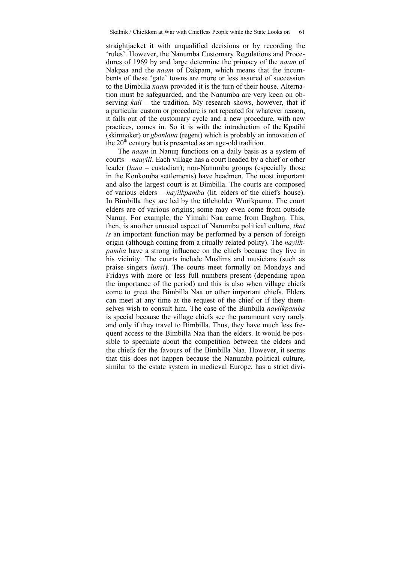straightjacket it with unqualified decisions or by recording the 'rules'. However, the Nanumba Customary Regulations and Procedures of 1969 by and large determine the primacy of the *naam* of Nakpaa and the *naam* of Dakpam, which means that the incumbents of these 'gate' towns are more or less assured of succession to the Bimbilla *naam* provided it is the turn of their house. Alternation must be safeguarded, and the Nanumba are very keen on observing *kali* – the tradition. My research shows, however, that if a particular custom or procedure is not repeated for whatever reason, it falls out of the customary cycle and a new procedure, with new practices, comes in. So it is with the introduction of the Kpatihi (skinmaker) or *gbonlana* (regent) which is probably an innovation of the  $20<sup>th</sup>$  century but is presented as an age-old tradition.

The *naam* in Nanuŋ functions on a daily basis as a system of courts – *naayili*. Each village has a court headed by a chief or other leader (*lana* – custodian); non-Nanumba groups (especially those in the Konkomba settlements) have headmen. The most important and also the largest court is at Bimbilla. The courts are composed of various elders – *nayilkpamba* (lit. elders of the chief's house). In Bimbilla they are led by the titleholder Worikpamo. The court elders are of various origins; some may even come from outside Nanuŋ. For example, the Yimahi Naa came from Dagboŋ. This, then, is another unusual aspect of Nanumba political culture, *that is* an important function may be performed by a person of foreign origin (although coming from a ritually related polity). The *nayilkpamba* have a strong influence on the chiefs because they live in his vicinity. The courts include Muslims and musicians (such as praise singers *lunsi*). The courts meet formally on Mondays and Fridays with more or less full numbers present (depending upon the importance of the period) and this is also when village chiefs come to greet the Bimbilla Naa or other important chiefs. Elders can meet at any time at the request of the chief or if they themselves wish to consult him. The case of the Bimbilla *nayilkpamba* is special because the village chiefs see the paramount very rarely and only if they travel to Bimbilla. Thus, they have much less frequent access to the Bimbilla Naa than the elders. It would be possible to speculate about the competition between the elders and the chiefs for the favours of the Bimbilla Naa. However, it seems that this does not happen because the Nanumba political culture, similar to the estate system in medieval Europe, has a strict divi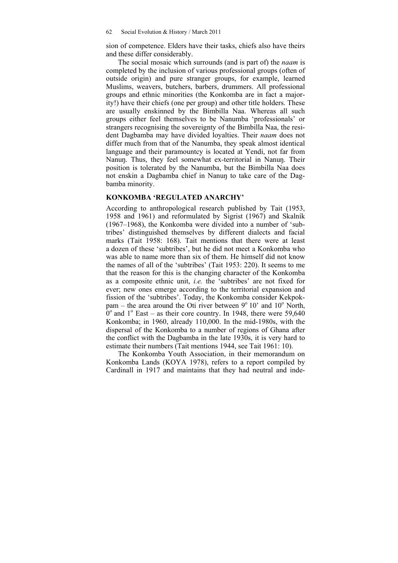sion of competence. Elders have their tasks, chiefs also have theirs and these differ considerably.

The social mosaic which surrounds (and is part of) the *naam* is completed by the inclusion of various professional groups (often of outside origin) and pure stranger groups, for example, learned Muslims, weavers, butchers, barbers, drummers. All professional groups and ethnic minorities (the Konkomba are in fact a majority!) have their chiefs (one per group) and other title holders. These are usually enskinned by the Bimbilla Naa. Whereas all such groups either feel themselves to be Nanumba 'professionals' or strangers recognising the sovereignty of the Bimbilla Naa, the resident Dagbamba may have divided loyalties. Their *naam* does not differ much from that of the Nanumba, they speak almost identical language and their paramountcy is located at Yendi, not far from Nanuŋ. Thus, they feel somewhat ex-territorial in Nanuŋ. Their position is tolerated by the Nanumba, but the Bimbilla Naa does not enskin a Dagbamba chief in Nanuŋ to take care of the Dagbamba minority.

#### **KONKOMBA 'REGULATED ANARCHY'**

According to anthropological research published by Tait (1953, 1958 and 1961) and reformulated by Sigrist (1967) and Skalník (1967–1968), the Konkomba were divided into a number of 'subtribes' distinguished themselves by different dialects and facial marks (Tait 1958: 168). Tait mentions that there were at least a dozen of these 'subtribes', but he did not meet a Konkomba who was able to name more than six of them. He himself did not know the names of all of the 'subtribes' (Tait 1953: 220). It seems to me that the reason for this is the changing character of the Konkomba as a composite ethnic unit, *i.e.* the 'subtribes' are not fixed for ever; new ones emerge according to the territorial expansion and fission of the 'subtribes'. Today, the Konkomba consider Kekpokpam – the area around the Oti river between  $9^{\circ}$  10' and 10<sup>°</sup> North,  $\hat{0}^{\circ}$  and  $1^{\circ}$  East – as their core country. In 1948, there were 59,640 Konkomba; in 1960, already 110,000. In the mid-1980s, with the dispersal of the Konkomba to a number of regions of Ghana after the conflict with the Dagbamba in the late 1930s, it is very hard to estimate their numbers (Tait mentions 1944, see Tait 1961: 10).

The Konkomba Youth Association, in their memorandum on Konkomba Lands (KOYA 1978), refers to a report compiled by Cardinall in 1917 and maintains that they had neutral and inde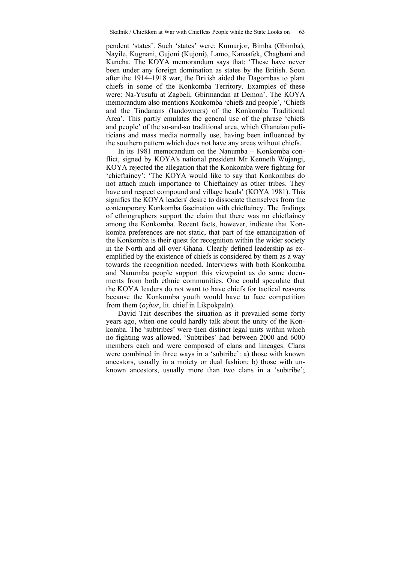pendent 'states'. Such 'states' were: Kumurjor, Bimba (Gbimba), Nayile, Kugnani, Gujoni (Kujoni), Lamo, Kanaafek, Chagbani and Kuncha. The KOYA memorandum says that: 'These have never been under any foreign domination as states by the British. Soon after the 1914–1918 war, the British aided the Dagombas to plant chiefs in some of the Konkomba Territory. Examples of these were: Na-Yusufu at Zagbeli, Gbirmandan at Demon'. The KOYA memorandum also mentions Konkomba 'chiefs and people', 'Chiefs and the Tindanans (landowners) of the Konkomba Traditional Area'. This partly emulates the general use of the phrase 'chiefs and people' of the so-and-so traditional area, which Ghanaian politicians and mass media normally use, having been influenced by the southern pattern which does not have any areas without chiefs.

In its 1981 memorandum on the Nanumba – Konkomba conflict, signed by KOYA's national president Mr Kenneth Wujangi, KOYA rejected the allegation that the Konkomba were fighting for 'chieftaincy': 'The KOYA would like to say that Konkombas do not attach much importance to Chieftaincy as other tribes. They have and respect compound and village heads' (KOYA 1981). This signifies the KOYA leaders' desire to dissociate themselves from the contemporary Konkomba fascination with chieftaincy. The findings of ethnographers support the claim that there was no chieftaincy among the Konkomba. Recent facts, however, indicate that Konkomba preferences are not static, that part of the emancipation of the Konkomba is their quest for recognition within the wider society in the North and all over Ghana. Clearly defined leadership as exemplified by the existence of chiefs is considered by them as a way towards the recognition needed. Interviews with both Konkomba and Nanumba people support this viewpoint as do some documents from both ethnic communities. One could speculate that the KOYA leaders do not want to have chiefs for tactical reasons because the Konkomba youth would have to face competition from them (*oγbor*, lit. chief in Likpokpaln).

David Tait describes the situation as it prevailed some forty years ago, when one could hardly talk about the unity of the Konkomba. The 'subtribes' were then distinct legal units within which no fighting was allowed. 'Subtribes' had between 2000 and 6000 members each and were composed of clans and lineages. Clans were combined in three ways in a 'subtribe': a) those with known ancestors, usually in a moiety or dual fashion; b) those with unknown ancestors, usually more than two clans in a 'subtribe';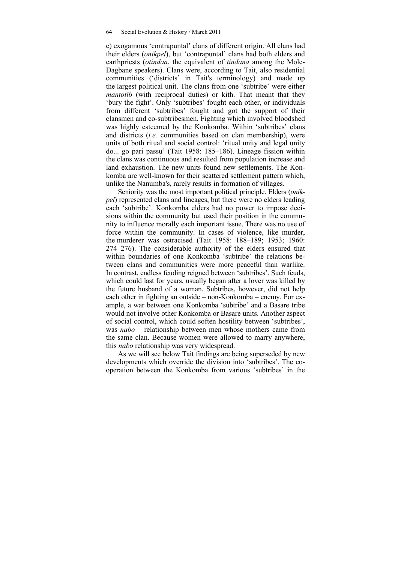c) exogamous 'contrapuntal' clans of different origin. All clans had their elders (*onikpel*), but 'contrapuntal' clans had both elders and earthpriests (*otindaa*, the equivalent of *tindana* among the Mole-Dagbane speakers). Clans were, according to Tait, also residential communities ('districts' in Tait's terminology) and made up the largest political unit. The clans from one 'subtribe' were either *mantotib* (with reciprocal duties) or kith. That meant that they 'bury the fight'. Only 'subtribes' fought each other, or individuals from different 'subtribes' fought and got the support of their clansmen and co-subtribesmen. Fighting which involved bloodshed was highly esteemed by the Konkomba. Within 'subtribes' clans and districts (*i.e.* communities based on clan membership), were units of both ritual and social control: 'ritual unity and legal unity do... go pari passu' (Tait 1958: 185–186). Lineage fission within the clans was continuous and resulted from population increase and land exhaustion. The new units found new settlements. The Konkomba are well-known for their scattered settlement pattern which, unlike the Nanumba's, rarely results in formation of villages.

Seniority was the most important political principle. Elders (*onikpel*) represented clans and lineages, but there were no elders leading each 'subtribe'. Konkomba elders had no power to impose decisions within the community but used their position in the community to influence morally each important issue. There was no use of force within the community. In cases of violence, like murder, the murderer was ostracised (Tait 1958: 188–189; 1953; 1960: 274–276). The considerable authority of the elders ensured that within boundaries of one Konkomba 'subtribe' the relations between clans and communities were more peaceful than warlike. In contrast, endless feuding reigned between 'subtribes'. Such feuds, which could last for years, usually began after a lover was killed by the future husband of a woman. Subtribes, however, did not help each other in fighting an outside – non-Konkomba – enemy. For example, a war between one Konkomba 'subtribe' and a Basare tribe would not involve other Konkomba or Basare units. Another aspect of social control, which could soften hostility between 'subtribes', was *nabo* – relationship between men whose mothers came from the same clan. Because women were allowed to marry anywhere, this *nabo* relationship was very widespread.

As we will see below Tait findings are being superseded by new developments which override the division into 'subtribes'. The cooperation between the Konkomba from various 'subtribes' in the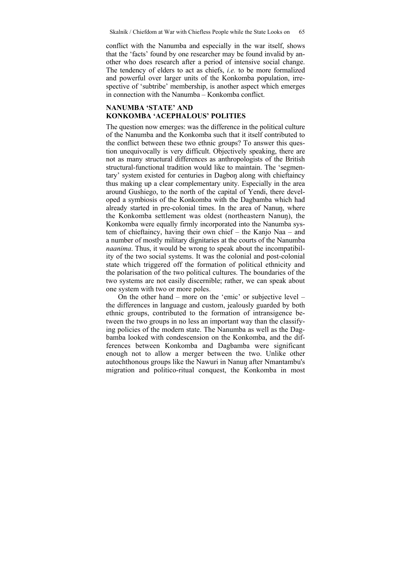conflict with the Nanumba and especially in the war itself, shows that the 'facts' found by one researcher may be found invalid by another who does research after a period of intensive social change. The tendency of elders to act as chiefs, *i.e.* to be more formalized and powerful over larger units of the Konkomba population, irrespective of 'subtribe' membership, is another aspect which emerges in connection with the Nanumba – Konkomba conflict.

# **NANUMBA 'STATE' AND KONKOMBA 'ACEPHALOUS' POLITIES**

The question now emerges: was the difference in the political culture of the Nanumba and the Konkomba such that it itself contributed to the conflict between these two ethnic groups? To answer this question unequivocally is very difficult. Objectively speaking, there are not as many structural differences as anthropologists of the British structural-functional tradition would like to maintain. The 'segmentary' system existed for centuries in Dagboŋ along with chieftaincy thus making up a clear complementary unity. Especially in the area around Gushiego, to the north of the capital of Yendi, there developed a symbiosis of the Konkomba with the Dagbamba which had already started in pre-colonial times. In the area of Nanuŋ, where the Konkomba settlement was oldest (northeastern Nanuŋ), the Konkomba were equally firmly incorporated into the Nanumba system of chieftaincy, having their own chief – the Kanjo Naa – and a number of mostly military dignitaries at the courts of the Nanumba *naanima*. Thus, it would be wrong to speak about the incompatibility of the two social systems. It was the colonial and post-colonial state which triggered off the formation of political ethnicity and the polarisation of the two political cultures. The boundaries of the two systems are not easily discernible; rather, we can speak about one system with two or more poles.

On the other hand – more on the 'emic' or subjective level – the differences in language and custom, jealously guarded by both ethnic groups, contributed to the formation of intransigence between the two groups in no less an important way than the classifying policies of the modern state. The Nanumba as well as the Dagbamba looked with condescension on the Konkomba, and the differences between Konkomba and Dagbamba were significant enough not to allow a merger between the two. Unlike other autochthonous groups like the Nawuri in Nanuŋ after Nmantambu's migration and politico-ritual conquest, the Konkomba in most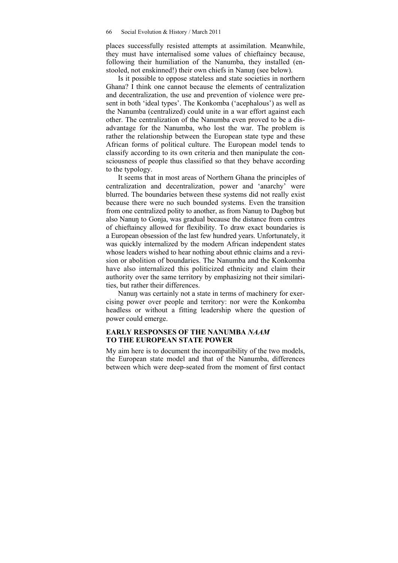places successfully resisted attempts at assimilation. Meanwhile, they must have internalised some values of chieftaincy because, following their humiliation of the Nanumba, they installed (enstooled, not enskinned!) their own chiefs in Nanuŋ (see below).

Is it possible to oppose stateless and state societies in northern Ghana? I think one cannot because the elements of centralization and decentralization, the use and prevention of violence were present in both 'ideal types'. The Konkomba ('acephalous') as well as the Nanumba (centralized) could unite in a war effort against each other. The centralization of the Nanumba even proved to be a disadvantage for the Nanumba, who lost the war. The problem is rather the relationship between the European state type and these African forms of political culture. The European model tends to classify according to its own criteria and then manipulate the consciousness of people thus classified so that they behave according to the typology.

It seems that in most areas of Northern Ghana the principles of centralization and decentralization, power and 'anarchy' were blurred. The boundaries between these systems did not really exist because there were no such bounded systems. Even the transition from one centralized polity to another, as from Nanuŋ to Dagboŋ but also Nanuŋ to Gonja, was gradual because the distance from centres of chieftaincy allowed for flexibility. To draw exact boundaries is a European obsession of the last few hundred years. Unfortunately, it was quickly internalized by the modern African independent states whose leaders wished to hear nothing about ethnic claims and a revision or abolition of boundaries. The Nanumba and the Konkomba have also internalized this politicized ethnicity and claim their authority over the same territory by emphasizing not their similarities, but rather their differences.

Nanuŋ was certainly not a state in terms of machinery for exercising power over people and territory: nor were the Konkomba headless or without a fitting leadership where the question of power could emerge.

#### **EARLY RESPONSES OF THE NANUMBA** *NAAM* **TO THE EUROPEAN STATE POWER**

My aim here is to document the incompatibility of the two models, the European state model and that of the Nanumba, differences between which were deep-seated from the moment of first contact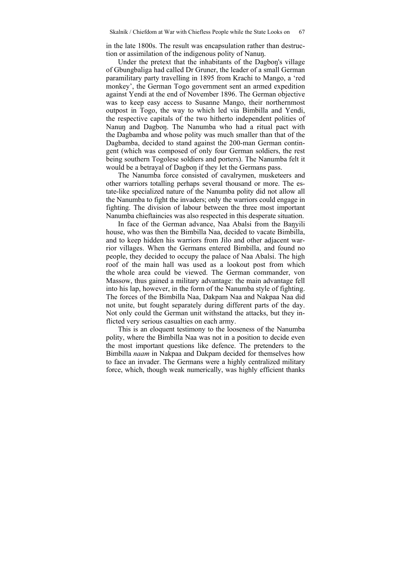in the late 1800s. The result was encapsulation rather than destruction or assimilation of the indigenous polity of Nanuŋ.

Under the pretext that the inhabitants of the Dagboŋ's village of Gbungbaliga had called Dr Gruner, the leader of a small German paramilitary party travelling in 1895 from Krachi to Mango, a 'red monkey', the German Togo government sent an armed expedition against Yendi at the end of November 1896. The German objective was to keep easy access to Susanne Mango, their northernmost outpost in Togo, the way to which led via Bimbilla and Yendi, the respective capitals of the two hitherto independent polities of Nanuŋ and Dagboŋ. The Nanumba who had a ritual pact with the Dagbamba and whose polity was much smaller than that of the Dagbamba, decided to stand against the 200-man German contingent (which was composed of only four German soldiers, the rest being southern Togolese soldiers and porters). The Nanumba felt it would be a betrayal of Dagboŋ if they let the Germans pass.

The Nanumba force consisted of cavalrymen, musketeers and other warriors totalling perhaps several thousand or more. The estate-like specialized nature of the Nanumba polity did not allow all the Nanumba to fight the invaders; only the warriors could engage in fighting. The division of labour between the three most important Nanumba chieftaincies was also respected in this desperate situation.

In face of the German advance, Naa Abalsi from the Baŋyili house, who was then the Bimbilla Naa, decided to vacate Bimbilla, and to keep hidden his warriors from Jilo and other adjacent warrior villages. When the Germans entered Bimbilla, and found no people, they decided to occupy the palace of Naa Abalsi. The high roof of the main hall was used as a lookout post from which the whole area could be viewed. The German commander, von Massow, thus gained a military advantage: the main advantage fell into his lap, however, in the form of the Nanumba style of fighting. The forces of the Bimbilla Naa, Dakpam Naa and Nakpaa Naa did not unite, but fought separately during different parts of the day. Not only could the German unit withstand the attacks, but they inflicted very serious casualties on each army.

This is an eloquent testimony to the looseness of the Nanumba polity, where the Bimbilla Naa was not in a position to decide even the most important questions like defence. The pretenders to the Bimbilla *naam* in Nakpaa and Dakpam decided for themselves how to face an invader. The Germans were a highly centralized military force, which, though weak numerically, was highly efficient thanks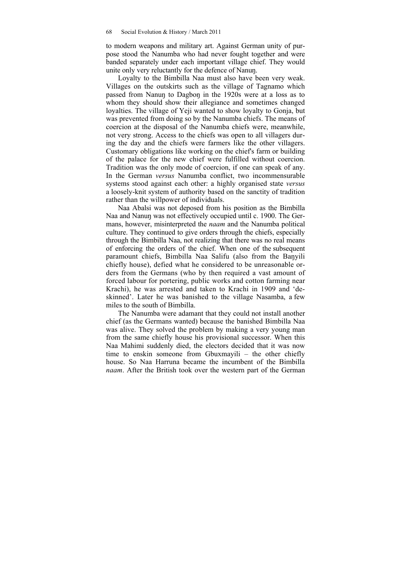to modern weapons and military art. Against German unity of purpose stood the Nanumba who had never fought together and were banded separately under each important village chief. They would unite only very reluctantly for the defence of Nanuŋ.

Loyalty to the Bimbilla Naa must also have been very weak. Villages on the outskirts such as the village of Tagnamo which passed from Nanuŋ to Dagboŋ in the 1920s were at a loss as to whom they should show their allegiance and sometimes changed loyalties. The village of Yeji wanted to show loyalty to Gonja, but was prevented from doing so by the Nanumba chiefs. The means of coercion at the disposal of the Nanumba chiefs were, meanwhile, not very strong. Access to the chiefs was open to all villagers during the day and the chiefs were farmers like the other villagers. Customary obligations like working on the chief's farm or building of the palace for the new chief were fulfilled without coercion. Tradition was the only mode of coercion, if one can speak of any. In the German *versus* Nanumba conflict, two incommensurable systems stood against each other: a highly organised state *versus* a loosely-knit system of authority based on the sanctity of tradition rather than the willpower of individuals.

Naa Abalsi was not deposed from his position as the Bimbilla Naa and Nanuŋ was not effectively occupied until c. 1900. The Germans, however, misinterpreted the *naam* and the Nanumba political culture. They continued to give orders through the chiefs, especially through the Bimbilla Naa, not realizing that there was no real means of enforcing the orders of the chief. When one of the subsequent paramount chiefs, Bimbilla Naa Salifu (also from the Baŋyili chiefly house), defied what he considered to be unreasonable orders from the Germans (who by then required a vast amount of forced labour for portering, public works and cotton farming near Krachi), he was arrested and taken to Krachi in 1909 and 'deskinned'. Later he was banished to the village Nasamba, a few miles to the south of Bimbilla.

The Nanumba were adamant that they could not install another chief (as the Germans wanted) because the banished Bimbilla Naa was alive. They solved the problem by making a very young man from the same chiefly house his provisional successor. When this Naa Mahimi suddenly died, the electors decided that it was now time to enskin someone from Gbuxmayili – the other chiefly house. So Naa Harruna became the incumbent of the Bimbilla *naam*. After the British took over the western part of the German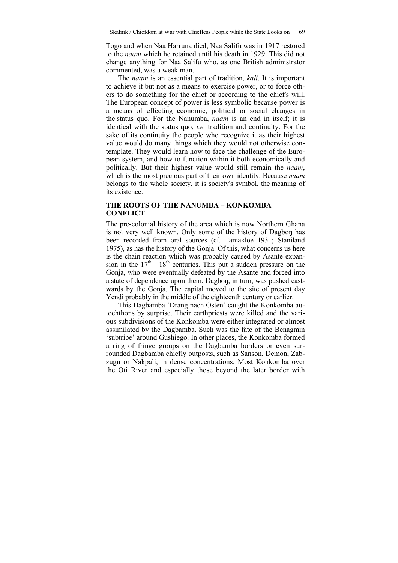Togo and when Naa Harruna died, Naa Salifu was in 1917 restored to the *naam* which he retained until his death in 1929. This did not change anything for Naa Salifu who, as one British administrator commented, was a weak man.

The *naam* is an essential part of tradition, *kali*. It is important to achieve it but not as a means to exercise power, or to force others to do something for the chief or according to the chief's will. The European concept of power is less symbolic because power is a means of effecting economic, political or social changes in the status quo. For the Nanumba, *naam* is an end in itself; it is identical with the status quo, *i.e.* tradition and continuity. For the sake of its continuity the people who recognize it as their highest value would do many things which they would not otherwise contemplate. They would learn how to face the challenge of the European system, and how to function within it both economically and politically. But their highest value would still remain the *naam*, which is the most precious part of their own identity. Because *naam* belongs to the whole society, it is society's symbol, the meaning of its existence.

# **THE ROOTS OF THE NANUMBA – KONKOMBA CONFLICT**

The pre-colonial history of the area which is now Northern Ghana is not very well known. Only some of the history of Dagboŋ has been recorded from oral sources (cf. Tamakloe 1931; Staniland 1975), as has the history of the Gonja. Of this, what concerns us here is the chain reaction which was probably caused by Asante expansion in the  $17<sup>th</sup> - 18<sup>th</sup>$  centuries. This put a sudden pressure on the Gonja, who were eventually defeated by the Asante and forced into a state of dependence upon them. Dagboŋ, in turn, was pushed eastwards by the Gonja. The capital moved to the site of present day Yendi probably in the middle of the eighteenth century or earlier.

This Dagbamba 'Drang nach Osten' caught the Konkomba autochthons by surprise. Their earthpriests were killed and the various subdivisions of the Konkomba were either integrated or almost assimilated by the Dagbamba. Such was the fate of the Benagmin 'subtribe' around Gushiego. In other places, the Konkomba formed a ring of fringe groups on the Dagbamba borders or even surrounded Dagbamba chiefly outposts, such as Sanson, Demon, Zabzugu or Nakpali, in dense concentrations. Most Konkomba over the Oti River and especially those beyond the later border with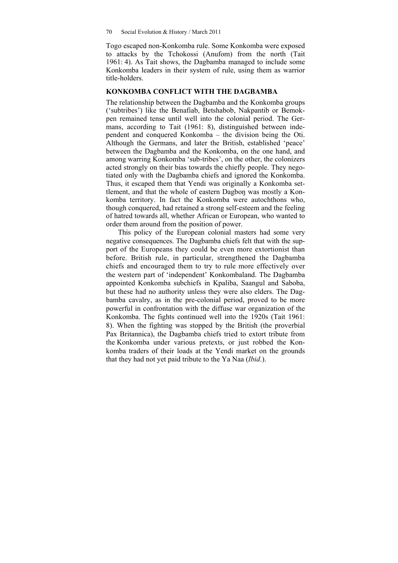Togo escaped non-Konkomba rule. Some Konkomba were exposed to attacks by the Tchokossi (Anufom) from the north (Tait 1961: 4). As Tait shows, the Dagbamba managed to include some Konkomba leaders in their system of rule, using them as warrior title-holders.

# **KONKOMBA CONFLICT WITH THE DAGBAMBA**

The relationship between the Dagbamba and the Konkomba groups ('subtribes') like the Benafiab, Betshabob, Nakpantib or Bemokpen remained tense until well into the colonial period. The Germans, according to Tait (1961: 8), distinguished between independent and conquered Konkomba – the division being the Oti. Although the Germans, and later the British, established 'peace' between the Dagbamba and the Konkomba, on the one hand, and among warring Konkomba 'sub-tribes', on the other, the colonizers acted strongly on their bias towards the chiefly people. They negotiated only with the Dagbamba chiefs and ignored the Konkomba. Thus, it escaped them that Yendi was originally a Konkomba settlement, and that the whole of eastern Dagboŋ was mostly a Konkomba territory. In fact the Konkomba were autochthons who, though conquered, had retained a strong self-esteem and the feeling of hatred towards all, whether African or European, who wanted to order them around from the position of power.

This policy of the European colonial masters had some very negative consequences. The Dagbamba chiefs felt that with the support of the Europeans they could be even more extortionist than before. British rule, in particular, strengthened the Dagbamba chiefs and encouraged them to try to rule more effectively over the western part of 'independent' Konkombaland. The Dagbamba appointed Konkomba subchiefs in Kpaliba, Saangul and Saboba, but these had no authority unless they were also elders. The Dagbamba cavalry, as in the pre-colonial period, proved to be more powerful in confrontation with the diffuse war organization of the Konkomba. The fights continued well into the 1920s (Tait 1961: 8). When the fighting was stopped by the British (the proverbial Pax Britannica), the Dagbamba chiefs tried to extort tribute from the Konkomba under various pretexts, or just robbed the Konkomba traders of their loads at the Yendi market on the grounds that they had not yet paid tribute to the Ya Naa (*Ibid*.).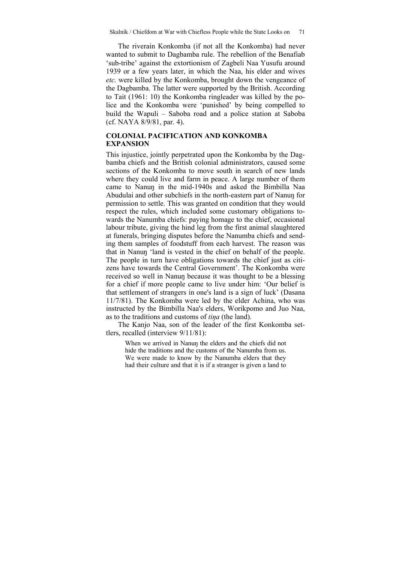The riverain Konkomba (if not all the Konkomba) had never wanted to submit to Dagbamba rule. The rebellion of the Benafiab 'sub-tribe' against the extortionism of Zagbeli Naa Yusufu around 1939 or a few years later, in which the Naa, his elder and wives *etc.* were killed by the Konkomba, brought down the vengeance of the Dagbamba. The latter were supported by the British. According to Tait (1961: 10) the Konkomba ringleader was killed by the police and the Konkomba were 'punished' by being compelled to build the Wapuli – Saboba road and a police station at Saboba (cf. NAYA 8/9/81, par. 4).

# **COLONIAL PACIFICATION AND KONKOMBA EXPANSION**

This injustice, jointly perpetrated upon the Konkomba by the Dagbamba chiefs and the British colonial administrators, caused some sections of the Konkomba to move south in search of new lands where they could live and farm in peace. A large number of them came to Nanuŋ in the mid-1940s and asked the Bimbilla Naa Abudulai and other subchiefs in the north-eastern part of Nanuŋ for permission to settle. This was granted on condition that they would respect the rules, which included some customary obligations towards the Nanumba chiefs: paying homage to the chief, occasional labour tribute, giving the hind leg from the first animal slaughtered at funerals, bringing disputes before the Nanumba chiefs and sending them samples of foodstuff from each harvest. The reason was that in Nanuŋ 'land is vested in the chief on behalf of the people. The people in turn have obligations towards the chief just as citizens have towards the Central Government'. The Konkomba were received so well in Nanuŋ because it was thought to be a blessing for a chief if more people came to live under him: 'Our belief is that settlement of strangers in one's land is a sign of luck' (Dasana 11/7/81). The Konkomba were led by the elder Achina, who was instructed by the Bimbilla Naa's elders, Worikpomo and Juo Naa, as to the traditions and customs of *tiŋa* (the land).

The Kanjo Naa, son of the leader of the first Konkomba settlers, recalled (interview 9/11/81):

When we arrived in Nanun the elders and the chiefs did not hide the traditions and the customs of the Nanumba from us. We were made to know by the Nanumba elders that they had their culture and that it is if a stranger is given a land to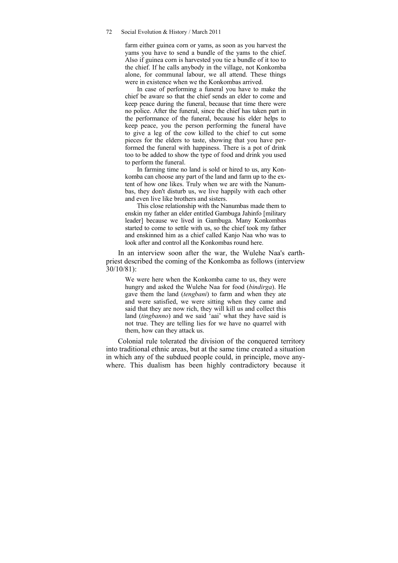#### 72 Social Evolution & History / March 2011

farm either guinea corn or yams, as soon as you harvest the yams you have to send a bundle of the yams to the chief. Also if guinea corn is harvested you tie a bundle of it too to the chief. If he calls anybody in the village, not Konkomba alone, for communal labour, we all attend. These things were in existence when we the Konkombas arrived.

In case of performing a funeral you have to make the chief be aware so that the chief sends an elder to come and keep peace during the funeral, because that time there were no police. After the funeral, since the chief has taken part in the performance of the funeral, because his elder helps to keep peace, you the person performing the funeral have to give a leg of the cow killed to the chief to cut some pieces for the elders to taste, showing that you have performed the funeral with happiness. There is a pot of drink too to be added to show the type of food and drink you used to perform the funeral.

In farming time no land is sold or hired to us, any Konkomba can choose any part of the land and farm up to the extent of how one likes. Truly when we are with the Nanumbas, they don't disturb us, we live happily with each other and even live like brothers and sisters.

This close relationship with the Nanumbas made them to enskin my father an elder entitled Gambuga Jahinfo [military leader] because we lived in Gambuga. Many Konkombas started to come to settle with us, so the chief took my father and enskinned him as a chief called Kanjo Naa who was to look after and control all the Konkombas round here.

In an interview soon after the war, the Wulehe Naa's earthpriest described the coming of the Konkomba as follows (interview 30/10/81):

We were here when the Konkomba came to us, they were hungry and asked the Wulehe Naa for food (*bindirga*). He gave them the land (*tengbani*) to farm and when they ate and were satisfied, we were sitting when they came and said that they are now rich, they will kill us and collect this land (*tingbanno*) and we said 'aai' what they have said is not true. They are telling lies for we have no quarrel with them, how can they attack us.

Colonial rule tolerated the division of the conquered territory into traditional ethnic areas, but at the same time created a situation in which any of the subdued people could, in principle, move anywhere. This dualism has been highly contradictory because it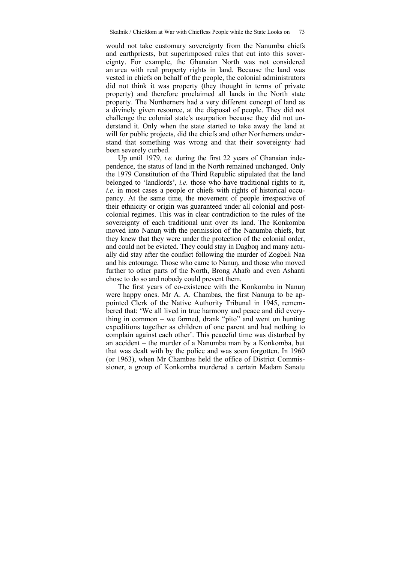would not take customary sovereignty from the Nanumba chiefs and earthpriests, but superimposed rules that cut into this sovereignty. For example, the Ghanaian North was not considered an area with real property rights in land. Because the land was vested in chiefs on behalf of the people, the colonial administrators did not think it was property (they thought in terms of private property) and therefore proclaimed all lands in the North state property. The Northerners had a very different concept of land as a divinely given resource, at the disposal of people. They did not challenge the colonial state's usurpation because they did not understand it. Only when the state started to take away the land at will for public projects, did the chiefs and other Northerners understand that something was wrong and that their sovereignty had been severely curbed.

Up until 1979, *i.e.* during the first 22 years of Ghanaian independence, the status of land in the North remained unchanged. Only the 1979 Constitution of the Third Republic stipulated that the land belonged to 'landlords', *i.e.* those who have traditional rights to it, *i.e.* in most cases a people or chiefs with rights of historical occupancy. At the same time, the movement of people irrespective of their ethnicity or origin was guaranteed under all colonial and postcolonial regimes. This was in clear contradiction to the rules of the sovereignty of each traditional unit over its land. The Konkomba moved into Nanuŋ with the permission of the Nanumba chiefs, but they knew that they were under the protection of the colonial order, and could not be evicted. They could stay in Dagboŋ and many actually did stay after the conflict following the murder of Zogbeli Naa and his entourage. Those who came to Nanuŋ, and those who moved further to other parts of the North, Brong Ahafo and even Ashanti chose to do so and nobody could prevent them.

The first years of co-existence with the Konkomba in Nanuŋ were happy ones. Mr A. A. Chambas, the first Nanuŋa to be appointed Clerk of the Native Authority Tribunal in 1945, remembered that: 'We all lived in true harmony and peace and did everything in common – we farmed, drank "pito" and went on hunting expeditions together as children of one parent and had nothing to complain against each other'. This peaceful time was disturbed by an accident – the murder of a Nanumba man by a Konkomba, but that was dealt with by the police and was soon forgotten. In 1960 (or 1963), when Mr Chambas held the office of District Commissioner, a group of Konkomba murdered a certain Madam Sanatu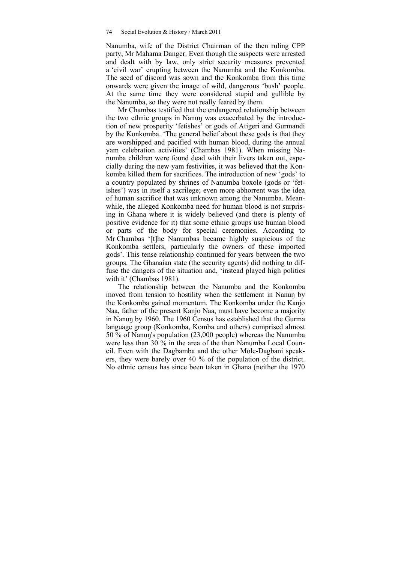Nanumba, wife of the District Chairman of the then ruling CPP party, Mr Mahama Danger. Even though the suspects were arrested and dealt with by law, only strict security measures prevented a 'civil war' erupting between the Nanumba and the Konkomba. The seed of discord was sown and the Konkomba from this time onwards were given the image of wild, dangerous 'bush' people. At the same time they were considered stupid and gullible by the Nanumba, so they were not really feared by them.

Mr Chambas testified that the endangered relationship between the two ethnic groups in Nanuŋ was exacerbated by the introduction of new prosperity 'fetishes' or gods of Atigeri and Gurmandi by the Konkomba. 'The general belief about these gods is that they are worshipped and pacified with human blood, during the annual yam celebration activities' (Chambas 1981). When missing Nanumba children were found dead with their livers taken out, especially during the new yam festivities, it was believed that the Konkomba killed them for sacrifices. The introduction of new 'gods' to a country populated by shrines of Nanumba boxole (gods or 'fetishes') was in itself a sacrilege; even more abhorrent was the idea of human sacrifice that was unknown among the Nanumba. Meanwhile, the alleged Konkomba need for human blood is not surprising in Ghana where it is widely believed (and there is plenty of positive evidence for it) that some ethnic groups use human blood or parts of the body for special ceremonies. According to Mr Chambas '[t]he Nanumbas became highly suspicious of the Konkomba settlers, particularly the owners of these imported gods'. This tense relationship continued for years between the two groups. The Ghanaian state (the security agents) did nothing to diffuse the dangers of the situation and, 'instead played high politics with it' (Chambas 1981).

The relationship between the Nanumba and the Konkomba moved from tension to hostility when the settlement in Nanuŋ by the Konkomba gained momentum. The Konkomba under the Kanjo Naa, father of the present Kanjo Naa, must have become a majority in Nanuŋ by 1960. The 1960 Census has established that the Gurma language group (Konkomba, Komba and others) comprised almost 50 % of Nanuŋ's population (23,000 people) whereas the Nanumba were less than 30 % in the area of the then Nanumba Local Council. Even with the Dagbamba and the other Mole-Dagbani speakers, they were barely over 40 % of the population of the district. No ethnic census has since been taken in Ghana (neither the 1970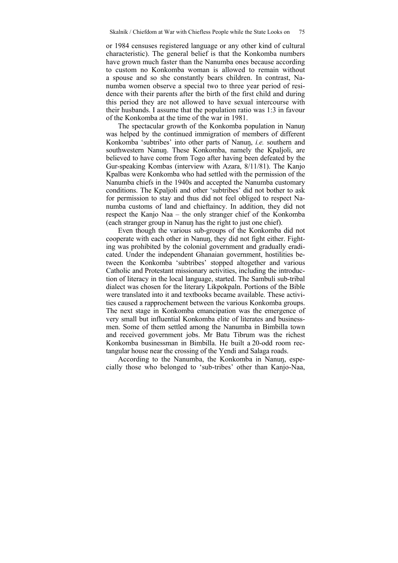or 1984 censuses registered language or any other kind of cultural characteristic). The general belief is that the Konkomba numbers have grown much faster than the Nanumba ones because according to custom no Konkomba woman is allowed to remain without a spouse and so she constantly bears children. In contrast, Nanumba women observe a special two to three year period of residence with their parents after the birth of the first child and during this period they are not allowed to have sexual intercourse with their husbands. I assume that the population ratio was 1:3 in favour of the Konkomba at the time of the war in 1981.

The spectacular growth of the Konkomba population in Nanuŋ was helped by the continued immigration of members of different Konkomba 'subtribes' into other parts of Nanuŋ, *i.e.* southern and southwestern Nanun. These Konkomba, namely the Kpaljoli, are believed to have come from Togo after having been defeated by the Gur-speaking Kombas (interview with Azara, 8/11/81). The Kanjo Kpalbas were Konkomba who had settled with the permission of the Nanumba chiefs in the 1940s and accepted the Nanumba customary conditions. The Kpaljoli and other 'subtribes' did not bother to ask for permission to stay and thus did not feel obliged to respect Nanumba customs of land and chieftaincy. In addition, they did not respect the Kanjo Naa – the only stranger chief of the Konkomba (each stranger group in Nanuŋ has the right to just one chief).

Even though the various sub-groups of the Konkomba did not cooperate with each other in Nanuŋ, they did not fight either. Fighting was prohibited by the colonial government and gradually eradicated. Under the independent Ghanaian government, hostilities between the Konkomba 'subtribes' stopped altogether and various Catholic and Protestant missionary activities, including the introduction of literacy in the local language, started. The Sambuli sub-tribal dialect was chosen for the literary Likpokpaln. Portions of the Bible were translated into it and textbooks became available. These activities caused a rapprochement between the various Konkomba groups. The next stage in Konkomba emancipation was the emergence of very small but influential Konkomba elite of literates and businessmen. Some of them settled among the Nanumba in Bimbilla town and received government jobs. Mr Batu Tibrum was the richest Konkomba businessman in Bimbilla. He built a 20-odd room rectangular house near the crossing of the Yendi and Salaga roads.

According to the Nanumba, the Konkomba in Nanuŋ, especially those who belonged to 'sub-tribes' other than Kanjo-Naa,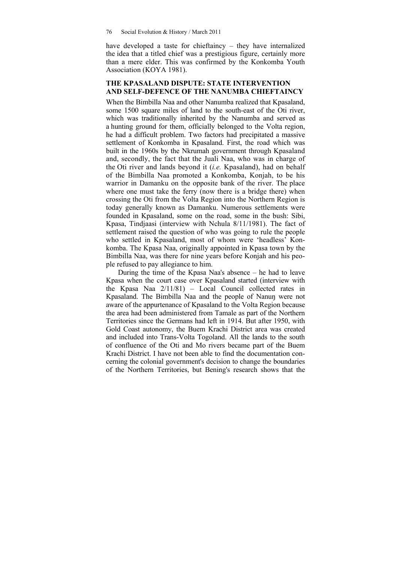have developed a taste for chieftaincy – they have internalized the idea that a titled chief was a prestigious figure, certainly more than a mere elder. This was confirmed by the Konkomba Youth Association (KOYA 1981).

#### **THE KPASALAND DISPUTE: STATE INTERVENTION AND SELF-DEFENCE OF THE NANUMBA CHIEFTAINCY**

When the Bimbilla Naa and other Nanumba realized that Kpasaland, some 1500 square miles of land to the south-east of the Oti river, which was traditionally inherited by the Nanumba and served as a hunting ground for them, officially belonged to the Volta region, he had a difficult problem. Two factors had precipitated a massive settlement of Konkomba in Kpasaland. First, the road which was built in the 1960s by the Nkrumah government through Kpasaland and, secondly, the fact that the Juali Naa, who was in charge of the Oti river and lands beyond it (*i.e.* Kpasaland), had on behalf of the Bimbilla Naa promoted a Konkomba, Konjah, to be his warrior in Damanku on the opposite bank of the river. The place where one must take the ferry (now there is a bridge there) when crossing the Oti from the Volta Region into the Northern Region is today generally known as Damanku. Numerous settlements were founded in Kpasaland, some on the road, some in the bush: Sibi, Kpasa, Tindjaasi (interview with Nchula 8/11/1981). The fact of settlement raised the question of who was going to rule the people who settled in Kpasaland, most of whom were 'headless' Konkomba. The Kpasa Naa, originally appointed in Kpasa town by the Bimbilla Naa, was there for nine years before Konjah and his people refused to pay allegiance to him.

During the time of the Kpasa Naa's absence – he had to leave Kpasa when the court case over Kpasaland started (interview with the Kpasa Naa 2/11/81) – Local Council collected rates in Kpasaland. The Bimbilla Naa and the people of Nanuŋ were not aware of the appurtenance of Kpasaland to the Volta Region because the area had been administered from Tamale as part of the Northern Territories since the Germans had left in 1914. But after 1950, with Gold Coast autonomy, the Buem Krachi District area was created and included into Trans-Volta Togoland. All the lands to the south of confluence of the Oti and Mo rivers became part of the Buem Krachi District. I have not been able to find the documentation concerning the colonial government's decision to change the boundaries of the Northern Territories, but Bening's research shows that the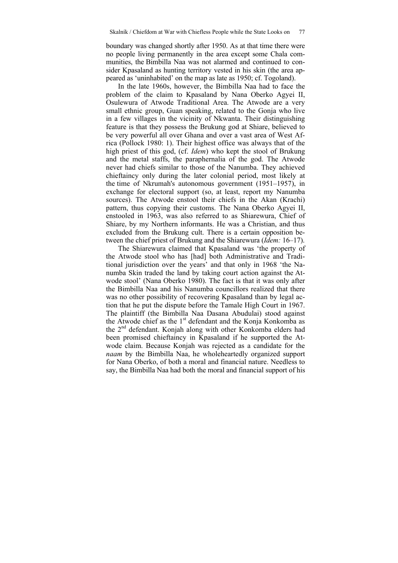boundary was changed shortly after 1950. As at that time there were no people living permanently in the area except some Chala communities, the Bimbilla Naa was not alarmed and continued to consider Kpasaland as hunting territory vested in his skin (the area appeared as 'uninhabited' on the map as late as 1950; cf. Togoland).

In the late 1960s, however, the Bimbilla Naa had to face the problem of the claim to Kpasaland by Nana Oberko Agyei II, Osulewura of Atwode Traditional Area. The Atwode are a very small ethnic group, Guan speaking, related to the Gonja who live in a few villages in the vicinity of Nkwanta. Their distinguishing feature is that they possess the Brukung god at Shiare, believed to be very powerful all over Ghana and over a vast area of West Africa (Pollock 1980: 1). Their highest office was always that of the high priest of this god, (cf. *Idem*) who kept the stool of Brukung and the metal staffs, the paraphernalia of the god. The Atwode never had chiefs similar to those of the Nanumba. They achieved chieftaincy only during the later colonial period, most likely at the time of Nkrumah's autonomous government (1951–1957), in exchange for electoral support (so, at least, report my Nanumba sources). The Atwode enstool their chiefs in the Akan (Krachi) pattern, thus copying their customs. The Nana Oberko Agyei II, enstooled in 1963, was also referred to as Shiarewura, Chief of Shiare, by my Northern informants. He was a Christian, and thus excluded from the Brukung cult. There is a certain opposition between the chief priest of Brukung and the Shiarewura (*Idem:* 16–17).

The Shiarewura claimed that Kpasaland was 'the property of the Atwode stool who has [had] both Administrative and Traditional jurisdiction over the years' and that only in 1968 'the Nanumba Skin traded the land by taking court action against the Atwode stool' (Nana Oberko 1980). The fact is that it was only after the Bimbilla Naa and his Nanumba councillors realized that there was no other possibility of recovering Kpasaland than by legal action that he put the dispute before the Tamale High Court in 1967. The plaintiff (the Bimbilla Naa Dasana Abudulai) stood against the Atwode chief as the  $1<sup>st</sup>$  defendant and the Konja Konkomba as the 2<sup>nd</sup> defendant. Konjah along with other Konkomba elders had been promised chieftaincy in Kpasaland if he supported the Atwode claim. Because Konjah was rejected as a candidate for the *naam* by the Bimbilla Naa, he wholeheartedly organized support for Nana Oberko, of both a moral and financial nature. Needless to say, the Bimbilla Naa had both the moral and financial support of his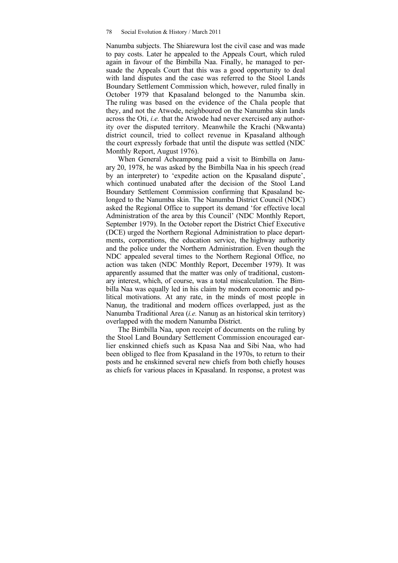Nanumba subjects. The Shiarewura lost the civil case and was made to pay costs. Later he appealed to the Appeals Court, which ruled again in favour of the Bimbilla Naa. Finally, he managed to persuade the Appeals Court that this was a good opportunity to deal with land disputes and the case was referred to the Stool Lands Boundary Settlement Commission which, however, ruled finally in October 1979 that Kpasaland belonged to the Nanumba skin. The ruling was based on the evidence of the Chala people that they, and not the Atwode, neighboured on the Nanumba skin lands across the Oti, *i.e.* that the Atwode had never exercised any authority over the disputed territory. Meanwhile the Krachi (Nkwanta) district council, tried to collect revenue in Kpasaland although the court expressly forbade that until the dispute was settled (NDC Monthly Report, August 1976).

When General Acheampong paid a visit to Bimbilla on January 20, 1978, he was asked by the Bimbilla Naa in his speech (read by an interpreter) to 'expedite action on the Kpasaland dispute', which continued unabated after the decision of the Stool Land Boundary Settlement Commission confirming that Kpasaland belonged to the Nanumba skin. The Nanumba District Council (NDC) asked the Regional Office to support its demand 'for effective local Administration of the area by this Council' (NDC Monthly Report, September 1979). In the October report the District Chief Executive (DCE) urged the Northern Regional Administration to place departments, corporations, the education service, the highway authority and the police under the Northern Administration. Even though the NDC appealed several times to the Northern Regional Office, no action was taken (NDC Monthly Report, December 1979). It was apparently assumed that the matter was only of traditional, customary interest, which, of course, was a total miscalculation. The Bimbilla Naa was equally led in his claim by modern economic and political motivations. At any rate, in the minds of most people in Nanuŋ, the traditional and modern offices overlapped, just as the Nanumba Traditional Area (*i.e.* Nanuŋ as an historical skin territory) overlapped with the modern Nanumba District.

The Bimbilla Naa, upon receipt of documents on the ruling by the Stool Land Boundary Settlement Commission encouraged earlier enskinned chiefs such as Kpasa Naa and Sibi Naa, who had been obliged to flee from Kpasaland in the 1970s, to return to their posts and he enskinned several new chiefs from both chiefly houses as chiefs for various places in Kpasaland. In response, a protest was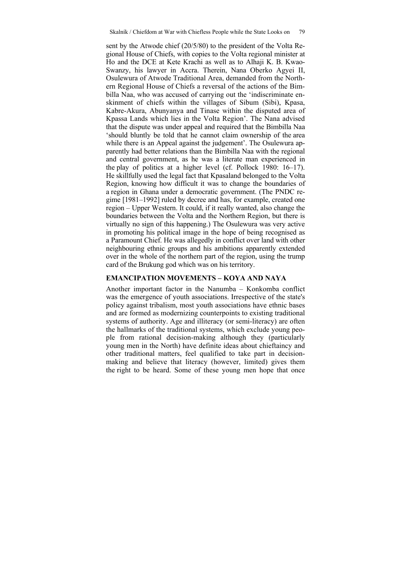sent by the Atwode chief (20/5/80) to the president of the Volta Regional House of Chiefs, with copies to the Volta regional minister at Ho and the DCE at Kete Krachi as well as to Alhaji K. B. Kwao-Swanzy, his lawyer in Accra. Therein, Nana Oberko Agyei II, Osulewura of Atwode Traditional Area, demanded from the Northern Regional House of Chiefs a reversal of the actions of the Bimbilla Naa, who was accused of carrying out the 'indiscriminate enskinment of chiefs within the villages of Sibum (Sibi), Kpasa, Kabre-Akura, Abunyanya and Tinase within the disputed area of Kpassa Lands which lies in the Volta Region'. The Nana advised that the dispute was under appeal and required that the Bimbilla Naa 'should bluntly be told that he cannot claim ownership of the area while there is an Appeal against the judgement'. The Osulewura apparently had better relations than the Bimbilla Naa with the regional and central government, as he was a literate man experienced in the play of politics at a higher level (cf. Pollock 1980: 16–17). He skillfully used the legal fact that Kpasaland belonged to the Volta Region, knowing how difficult it was to change the boundaries of a region in Ghana under a democratic government. (The PNDC regime [1981–1992] ruled by decree and has, for example, created one region – Upper Western. It could, if it really wanted, also change the boundaries between the Volta and the Northern Region, but there is virtually no sign of this happening.) The Osulewura was very active in promoting his political image in the hope of being recognised as a Paramount Chief. He was allegedly in conflict over land with other neighbouring ethnic groups and his ambitions apparently extended over in the whole of the northern part of the region, using the trump card of the Brukung god which was on his territory.

## **EMANCIPATION MOVEMENTS – KOYA AND NAYA**

Another important factor in the Nanumba – Konkomba conflict was the emergence of youth associations. Irrespective of the state's policy against tribalism, most youth associations have ethnic bases and are formed as modernizing counterpoints to existing traditional systems of authority. Age and illiteracy (or semi-literacy) are often the hallmarks of the traditional systems, which exclude young people from rational decision-making although they (particularly young men in the North) have definite ideas about chieftaincy and other traditional matters, feel qualified to take part in decisionmaking and believe that literacy (however, limited) gives them the right to be heard. Some of these young men hope that once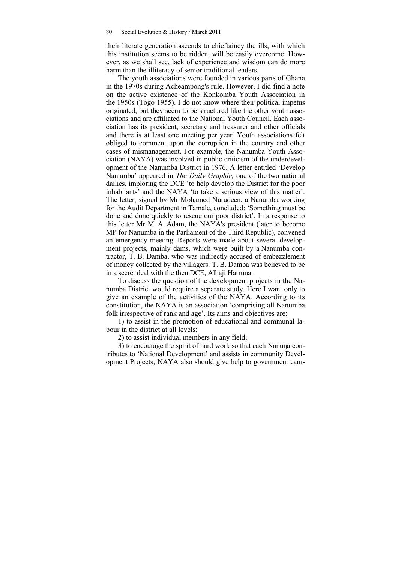their literate generation ascends to chieftaincy the ills, with which this institution seems to be ridden, will be easily overcome. However, as we shall see, lack of experience and wisdom can do more harm than the illiteracy of senior traditional leaders.

The youth associations were founded in various parts of Ghana in the 1970s during Acheampong's rule. However, I did find a note on the active existence of the Konkomba Youth Association in the 1950s (Togo 1955). I do not know where their political impetus originated, but they seem to be structured like the other youth associations and are affiliated to the National Youth Council. Each association has its president, secretary and treasurer and other officials and there is at least one meeting per year. Youth associations felt obliged to comment upon the corruption in the country and other cases of mismanagement. For example, the Nanumba Youth Association (NAYA) was involved in public criticism of the underdevelopment of the Nanumba District in 1976. A letter entitled 'Develop Nanumba' appeared in *The Daily Graphic,* one of the two national dailies, imploring the DCE 'to help develop the District for the poor inhabitants' and the NAYA 'to take a serious view of this matter'. The letter, signed by Mr Mohamed Nurudeen, a Nanumba working for the Audit Department in Tamale, concluded: 'Something must be done and done quickly to rescue our poor district'. In a response to this letter Mr M. A. Adam, the NAYA's president (later to become MP for Nanumba in the Parliament of the Third Republic), convened an emergency meeting. Reports were made about several development projects, mainly dams, which were built by a Nanumba contractor, T. B. Damba, who was indirectly accused of embezzlement of money collected by the villagers. T. B. Damba was believed to be in a secret deal with the then DCE, Alhaji Harruna.

To discuss the question of the development projects in the Nanumba District would require a separate study. Here I want only to give an example of the activities of the NAYA. According to its constitution, the NAYA is an association 'comprising all Nanumba folk irrespective of rank and age'. Its aims and objectives are:

1) to assist in the promotion of educational and communal labour in the district at all levels;

2) to assist individual members in any field;

3) to encourage the spirit of hard work so that each Nanuŋa contributes to 'National Development' and assists in community Development Projects; NAYA also should give help to government cam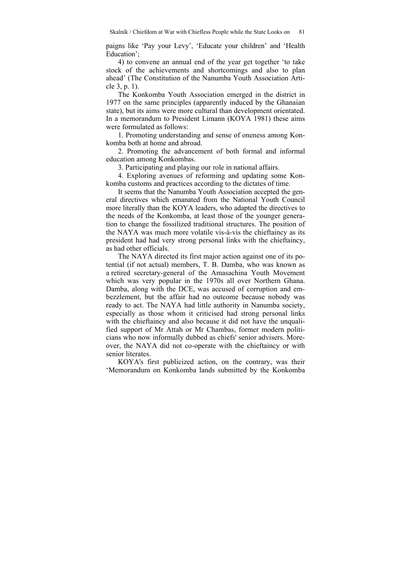paigns like 'Pay your Levy', 'Educate your children' and 'Health Education';

4) to convene an annual end of the year get together 'to take stock of the achievements and shortcomings and also to plan ahead' (The Constitution of the Nanumba Youth Association Article 3, p. 1).

The Konkomba Youth Association emerged in the district in 1977 on the same principles (apparently induced by the Ghanaian state), but its aims were more cultural than development orientated. In a memorandum to President Limann (KOYA 1981) these aims were formulated as follows:

1. Promoting understanding and sense of oneness among Konkomba both at home and abroad.

2. Promoting the advancement of both formal and informal education among Konkombas.

3. Participating and playing our role in national affairs.

4. Exploring avenues of reforming and updating some Konkomba customs and practices according to the dictates of time.

It seems that the Nanumba Youth Association accepted the general directives which emanated from the National Youth Council more literally than the KOYA leaders, who adapted the directives to the needs of the Konkomba, at least those of the younger generation to change the fossilized traditional structures. The position of the NAYA was much more volatile vis-à-vis the chieftaincy as its president had had very strong personal links with the chieftaincy, as had other officials.

The NAYA directed its first major action against one of its potential (if not actual) members, T. B. Damba, who was known as a retired secretary-general of the Amasachina Youth Movement which was very popular in the 1970s all over Northern Ghana. Damba, along with the DCE, was accused of corruption and embezzlement, but the affair had no outcome because nobody was ready to act. The NAYA had little authority in Nanumba society, especially as those whom it criticised had strong personal links with the chieftaincy and also because it did not have the unqualified support of Mr Attah or Mr Chambas, former modern politicians who now informally dubbed as chiefs' senior advisers. Moreover, the NAYA did not co-operate with the chieftaincy or with senior literates.

KOYA's first publicized action, on the contrary, was their 'Memorandum on Konkomba lands submitted by the Konkomba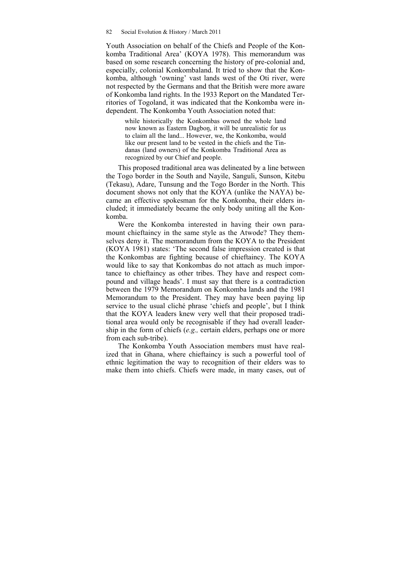Youth Association on behalf of the Chiefs and People of the Konkomba Traditional Area' (KOYA 1978). This memorandum was based on some research concerning the history of pre-colonial and, especially, colonial Konkombaland. It tried to show that the Konkomba, although 'owning' vast lands west of the Oti river, were not respected by the Germans and that the British were more aware of Konkomba land rights. In the 1933 Report on the Mandated Territories of Togoland, it was indicated that the Konkomba were independent. The Konkomba Youth Association noted that:

while historically the Konkombas owned the whole land now known as Eastern Dagboŋ, it will be unrealistic for us to claim all the land... However, we, the Konkomba, would like our present land to be vested in the chiefs and the Tindanas (land owners) of the Konkomba Traditional Area as recognized by our Chief and people.

This proposed traditional area was delineated by a line between the Togo border in the South and Nayile, Sanguli, Sunson, Kitebu (Tekasu), Adare, Tunsung and the Togo Border in the North. This document shows not only that the KOYA (unlike the NAYA) became an effective spokesman for the Konkomba, their elders included; it immediately became the only body uniting all the Konkomba.

Were the Konkomba interested in having their own paramount chieftaincy in the same style as the Atwode? They themselves deny it. The memorandum from the KOYA to the President (KOYA 1981) states: 'The second false impression created is that the Konkombas are fighting because of chieftaincy. The KOYA would like to say that Konkombas do not attach as much importance to chieftaincy as other tribes. They have and respect compound and village heads'. I must say that there is a contradiction between the 1979 Memorandum on Konkomba lands and the 1981 Memorandum to the President. They may have been paying lip service to the usual cliché phrase 'chiefs and people', but I think that the KOYA leaders knew very well that their proposed traditional area would only be recognisable if they had overall leadership in the form of chiefs (*e.g.,* certain elders, perhaps one or more from each sub-tribe).

The Konkomba Youth Association members must have realized that in Ghana, where chieftaincy is such a powerful tool of ethnic legitimation the way to recognition of their elders was to make them into chiefs. Chiefs were made, in many cases, out of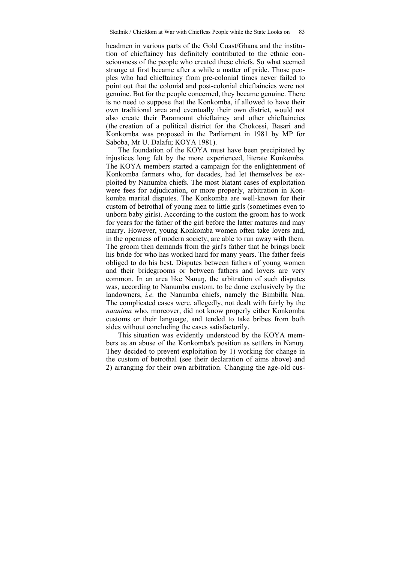headmen in various parts of the Gold Coast/Ghana and the institution of chieftaincy has definitely contributed to the ethnic consciousness of the people who created these chiefs. So what seemed strange at first became after a while a matter of pride. Those peoples who had chieftaincy from pre-colonial times never failed to point out that the colonial and post-colonial chieftaincies were not genuine. But for the people concerned, they became genuine. There is no need to suppose that the Konkomba, if allowed to have their own traditional area and eventually their own district, would not also create their Paramount chieftaincy and other chieftaincies (the creation of a political district for the Chokossi, Basari and Konkomba was proposed in the Parliament in 1981 by MP for Saboba, Mr U. Dalafu; KOYA 1981).

The foundation of the KOYA must have been precipitated by injustices long felt by the more experienced, literate Konkomba. The KOYA members started a campaign for the enlightenment of Konkomba farmers who, for decades, had let themselves be exploited by Nanumba chiefs. The most blatant cases of exploitation were fees for adjudication, or more properly, arbitration in Konkomba marital disputes. The Konkomba are well-known for their custom of betrothal of young men to little girls (sometimes even to unborn baby girls). According to the custom the groom has to work for years for the father of the girl before the latter matures and may marry. However, young Konkomba women often take lovers and, in the openness of modern society, are able to run away with them. The groom then demands from the girl's father that he brings back his bride for who has worked hard for many years. The father feels obliged to do his best. Disputes between fathers of young women and their bridegrooms or between fathers and lovers are very common. In an area like Nanuŋ, the arbitration of such disputes was, according to Nanumba custom, to be done exclusively by the landowners, *i.e.* the Nanumba chiefs, namely the Bimbilla Naa. The complicated cases were, allegedly, not dealt with fairly by the *naanima* who, moreover, did not know properly either Konkomba customs or their language, and tended to take bribes from both sides without concluding the cases satisfactorily.

This situation was evidently understood by the KOYA members as an abuse of the Konkomba's position as settlers in Nanuŋ. They decided to prevent exploitation by 1) working for change in the custom of betrothal (see their declaration of aims above) and 2) arranging for their own arbitration. Changing the age-old cus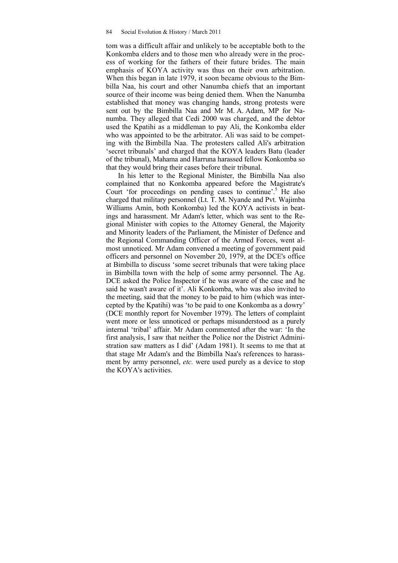tom was a difficult affair and unlikely to be acceptable both to the Konkomba elders and to those men who already were in the process of working for the fathers of their future brides. The main emphasis of KOYA activity was thus on their own arbitration. When this began in late 1979, it soon became obvious to the Bimbilla Naa, his court and other Nanumba chiefs that an important source of their income was being denied them. When the Nanumba established that money was changing hands, strong protests were sent out by the Bimbilla Naa and Mr M. A. Adam, MP for Nanumba. They alleged that Cedi 2000 was charged, and the debtor used the Kpatihi as a middleman to pay Ali, the Konkomba elder who was appointed to be the arbitrator. Ali was said to be competing with the Bimbilla Naa. The protesters called Ali's arbitration 'secret tribunals' and charged that the KOYA leaders Batu (leader of the tribunal), Mahama and Harruna harassed fellow Konkomba so that they would bring their cases before their tribunal.

In his letter to the Regional Minister, the Bimbilla Naa also complained that no Konkomba appeared before the Magistrate's Court 'for proceedings on pending cases to continue'.<sup>5</sup> He also charged that military personnel (Lt. T. M. Nyande and Pvt. Wajimba Williams Amin, both Konkomba) led the KOYA activists in beatings and harassment. Mr Adam's letter, which was sent to the Regional Minister with copies to the Attorney General, the Majority and Minority leaders of the Parliament, the Minister of Defence and the Regional Commanding Officer of the Armed Forces, went almost unnoticed. Mr Adam convened a meeting of government paid officers and personnel on November 20, 1979, at the DCE's office at Bimbilla to discuss 'some secret tribunals that were taking place in Bimbilla town with the help of some army personnel. The Ag. DCE asked the Police Inspector if he was aware of the case and he said he wasn't aware of it'. Ali Konkomba, who was also invited to the meeting, said that the money to be paid to him (which was intercepted by the Kpatihi) was 'to be paid to one Konkomba as a dowry' (DCE monthly report for November 1979). The letters of complaint went more or less unnoticed or perhaps misunderstood as a purely internal 'tribal' affair. Mr Adam commented after the war: 'In the first analysis, I saw that neither the Police nor the District Administration saw matters as I did' (Adam 1981). It seems to me that at that stage Mr Adam's and the Bimbilla Naa's references to harassment by army personnel, *etc.* were used purely as a device to stop the KOYA's activities.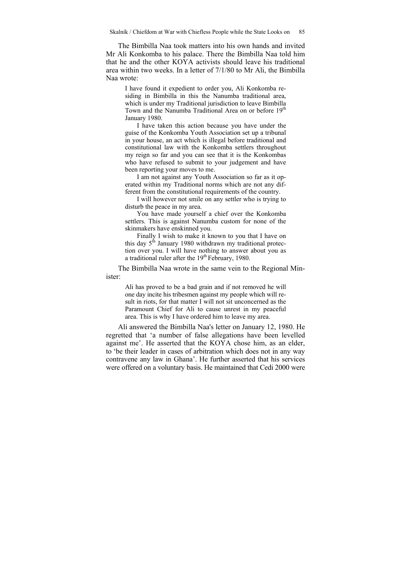The Bimbilla Naa took matters into his own hands and invited Mr Ali Konkomba to his palace. There the Bimbilla Naa told him that he and the other KOYA activists should leave his traditional area within two weeks. In a letter of 7/1/80 to Mr Ali, the Bimbilla Naa wrote:

I have found it expedient to order you, Ali Konkomba residing in Bimbilla in this the Nanumba traditional area, which is under my Traditional jurisdiction to leave Bimbilla Town and the Nanumba Traditional Area on or before 19<sup>th</sup> January 1980.

I have taken this action because you have under the guise of the Konkomba Youth Association set up a tribunal in your house, an act which is illegal before traditional and constitutional law with the Konkomba settlers throughout my reign so far and you can see that it is the Konkombas who have refused to submit to your judgement and have been reporting your moves to me.

I am not against any Youth Association so far as it operated within my Traditional norms which are not any different from the constitutional requirements of the country.

I will however not smile on any settler who is trying to disturb the peace in my area.

You have made yourself a chief over the Konkomba settlers. This is against Nanumba custom for none of the skinmakers have enskinned you.

Finally I wish to make it known to you that I have on this day  $5<sup>th</sup>$  January 1980 withdrawn my traditional protection over you. I will have nothing to answer about you as a traditional ruler after the  $19<sup>th</sup>$  February, 1980.

The Bimbilla Naa wrote in the same vein to the Regional Minister:

Ali has proved to be a bad grain and if not removed he will one day incite his tribesmen against my people which will result in riots, for that matter I will not sit unconcerned as the Paramount Chief for Ali to cause unrest in my peaceful area. This is why I have ordered him to leave my area.

Ali answered the Bimbilla Naa's letter on January 12, 1980. He regretted that 'a number of false allegations have been levelled against me'. He asserted that the KOYA chose him, as an elder, to 'be their leader in cases of arbitration which does not in any way contravene any law in Ghana'. He further asserted that his services were offered on a voluntary basis. He maintained that Cedi 2000 were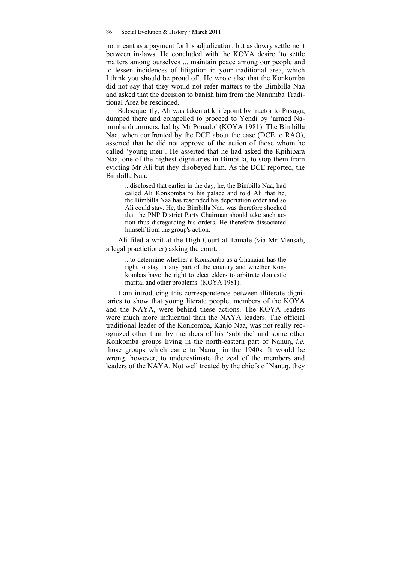not meant as a payment for his adjudication, but as dowry settlement between in-laws. He concluded with the KOYA desire 'to settle matters among ourselves ... maintain peace among our people and to lessen incidences of litigation in your traditional area, which I think you should be proud of'. He wrote also that the Konkomba did not say that they would not refer matters to the Bimbilla Naa and asked that the decision to banish him from the Nanumba Traditional Area be rescinded.

Subsequently, Ali was taken at knifepoint by tractor to Pusuga, dumped there and compelled to proceed to Yendi by 'armed Nanumba drummers, led by Mr Ponado' (KOYA 1981). The Bimbilla Naa, when confronted by the DCE about the case (DCE to RAO), asserted that he did not approve of the action of those whom he called 'young men'. He asserted that he had asked the Kpihibara Naa, one of the highest dignitaries in Bimbilla, to stop them from evicting Mr Ali but they disobeyed him. As the DCE reported, the Bimbilla Naa:

...disclosed that earlier in the day, he, the Bimbilla Naa, had called Ali Konkomba to his palace and told Ali that he, the Bimbilla Naa has rescinded his deportation order and so Ali could stay. He, the Bimbilla Naa, was therefore shocked that the PNP District Party Chairman should take such action thus disregarding his orders. He therefore dissociated himself from the group's action.

Ali filed a writ at the High Court at Tamale (via Mr Mensah, a legal practictioner) asking the court:

...to determine whether a Konkomba as a Ghanaian has the right to stay in any part of the country and whether Konkombas have the right to elect elders to arbitrate domestic marital and other problems (KOYA 1981).

I am introducing this correspondence between illiterate dignitaries to show that young literate people, members of the KOYA and the NAYA, were behind these actions. The KOYA leaders were much more influential than the NAYA leaders. The official traditional leader of the Konkomba, Kanjo Naa, was not really recognized other than by members of his 'subtribe' and some other Konkomba groups living in the north-eastern part of Nanuŋ, *i.e.* those groups which came to Nanuŋ in the 1940s. It would be wrong, however, to underestimate the zeal of the members and leaders of the NAYA. Not well treated by the chiefs of Nanuŋ, they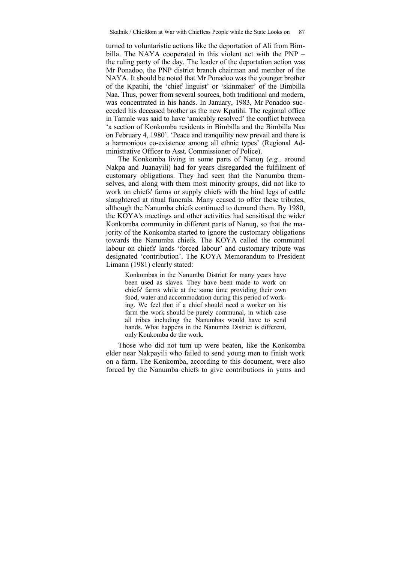turned to voluntaristic actions like the deportation of Ali from Bimbilla. The NAYA cooperated in this violent act with the PNP – the ruling party of the day. The leader of the deportation action was Mr Ponadoo, the PNP district branch chairman and member of the NAYA. It should be noted that Mr Ponadoo was the younger brother of the Kpatihi, the 'chief linguist' or 'skinmaker' of the Bimbilla Naa. Thus, power from several sources, both traditional and modern, was concentrated in his hands. In January, 1983, Mr Ponadoo succeeded his deceased brother as the new Kpatihi. The regional office in Tamale was said to have 'amicably resolved' the conflict between 'a section of Konkomba residents in Bimbilla and the Bimbilla Naa on February 4, 1980'. 'Peace and tranquility now prevail and there is a harmonious co-existence among all ethnic types' (Regional Administrative Officer to Asst. Commissioner of Police).

The Konkomba living in some parts of Nanuŋ (*e.g.,* around Nakpa and Juanayili) had for years disregarded the fulfilment of customary obligations. They had seen that the Nanumba themselves, and along with them most minority groups, did not like to work on chiefs' farms or supply chiefs with the hind legs of cattle slaughtered at ritual funerals. Many ceased to offer these tributes, although the Nanumba chiefs continued to demand them. By 1980, the KOYA's meetings and other activities had sensitised the wider Konkomba community in different parts of Nanuŋ, so that the majority of the Konkomba started to ignore the customary obligations towards the Nanumba chiefs. The KOYA called the communal labour on chiefs' lands 'forced labour' and customary tribute was designated 'contribution'. The KOYA Memorandum to President Limann (1981) clearly stated:

Konkombas in the Nanumba District for many years have been used as slaves. They have been made to work on chiefs' farms while at the same time providing their own food, water and accommodation during this period of working. We feel that if a chief should need a worker on his farm the work should be purely communal, in which case all tribes including the Nanumbas would have to send hands. What happens in the Nanumba District is different, only Konkomba do the work.

Those who did not turn up were beaten, like the Konkomba elder near Nakpayili who failed to send young men to finish work on a farm. The Konkomba, according to this document, were also forced by the Nanumba chiefs to give contributions in yams and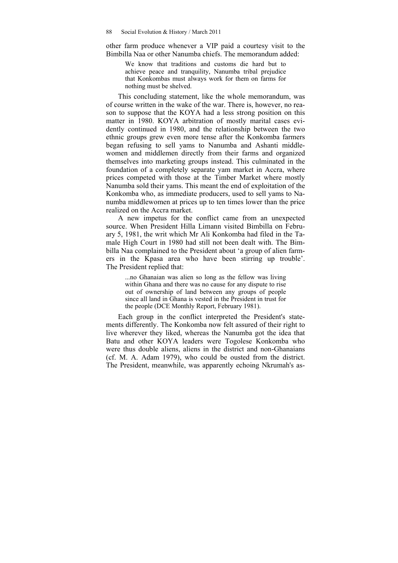other farm produce whenever a VIP paid a courtesy visit to the Bimbilla Naa or other Nanumba chiefs. The memorandum added:

We know that traditions and customs die hard but to achieve peace and tranquility, Nanumba tribal prejudice that Konkombas must always work for them on farms for nothing must be shelved.

This concluding statement, like the whole memorandum, was of course written in the wake of the war. There is, however, no reason to suppose that the KOYA had a less strong position on this matter in 1980. KOYA arbitration of mostly marital cases evidently continued in 1980, and the relationship between the two ethnic groups grew even more tense after the Konkomba farmers began refusing to sell yams to Nanumba and Ashanti middlewomen and middlemen directly from their farms and organized themselves into marketing groups instead. This culminated in the foundation of a completely separate yam market in Accra, where prices competed with those at the Timber Market where mostly Nanumba sold their yams. This meant the end of exploitation of the Konkomba who, as immediate producers, used to sell yams to Nanumba middlewomen at prices up to ten times lower than the price realized on the Accra market.

A new impetus for the conflict came from an unexpected source. When President Hilla Limann visited Bimbilla on February 5, 1981, the writ which Mr Ali Konkomba had filed in the Tamale High Court in 1980 had still not been dealt with. The Bimbilla Naa complained to the President about 'a group of alien farmers in the Kpasa area who have been stirring up trouble'. The President replied that:

...no Ghanaian was alien so long as the fellow was living within Ghana and there was no cause for any dispute to rise out of ownership of land between any groups of people since all land in Ghana is vested in the President in trust for the people (DCE Monthly Report, February 1981).

Each group in the conflict interpreted the President's statements differently. The Konkomba now felt assured of their right to live wherever they liked, whereas the Nanumba got the idea that Batu and other KOYA leaders were Togolese Konkomba who were thus double aliens, aliens in the district and non-Ghanaians (cf. M. A. Adam 1979), who could be ousted from the district. The President, meanwhile, was apparently echoing Nkrumah's as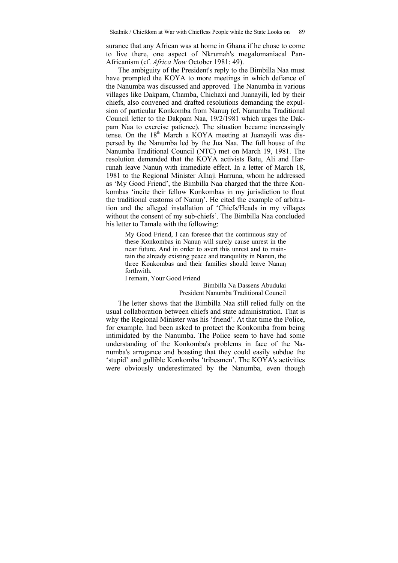surance that any African was at home in Ghana if he chose to come to live there, one aspect of Nkrumah's megalomaniacal Pan-Africanism (cf. *Africa Now* October 1981: 49).

The ambiguity of the President's reply to the Bimbilla Naa must have prompted the KOYA to more meetings in which defiance of the Nanumba was discussed and approved. The Nanumba in various villages like Dakpam, Chamba, Chichaxi and Juanayili, led by their chiefs, also convened and drafted resolutions demanding the expulsion of particular Konkomba from Nanuŋ (cf. Nanumba Traditional Council letter to the Dakpam Naa, 19/2/1981 which urges the Dakpam Naa to exercise patience). The situation became increasingly tense. On the  $18<sup>th</sup>$  March a KOYA meeting at Juanayili was dispersed by the Nanumba led by the Jua Naa. The full house of the Nanumba Traditional Council (NTC) met on March 19, 1981. The resolution demanded that the KOYA activists Batu, Ali and Harrunah leave Nanuŋ with immediate effect. In a letter of March 18, 1981 to the Regional Minister Alhaji Harruna, whom he addressed as 'My Good Friend', the Bimbilla Naa charged that the three Konkombas 'incite their fellow Konkombas in my jurisdiction to flout the traditional customs of Nanuŋ'. He cited the example of arbitration and the alleged installation of 'Chiefs/Heads in my villages without the consent of my sub-chiefs'. The Bimbilla Naa concluded his letter to Tamale with the following:

My Good Friend, I can foresee that the continuous stay of these Konkombas in Nanuŋ will surely cause unrest in the near future. And in order to avert this unrest and to maintain the already existing peace and tranquility in Nanun, the three Konkombas and their families should leave Nanuŋ forthwith.

I remain, Your Good Friend

Bimbilla Na Dassens Abudulai President Nanumba Traditional Council

The letter shows that the Bimbilla Naa still relied fully on the usual collaboration between chiefs and state administration. That is why the Regional Minister was his 'friend'. At that time the Police, for example, had been asked to protect the Konkomba from being intimidated by the Nanumba. The Police seem to have had some understanding of the Konkomba's problems in face of the Nanumba's arrogance and boasting that they could easily subdue the 'stupid' and gullible Konkomba 'tribesmen'. The KOYA's activities were obviously underestimated by the Nanumba, even though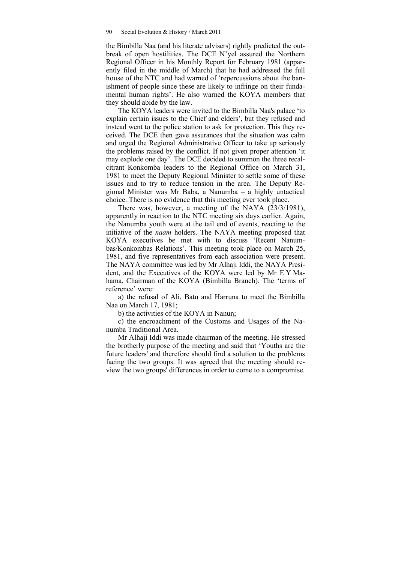the Bimbilla Naa (and his literate advisers) rightly predicted the outbreak of open hostilities. The DCE N'yel assured the Northern Regional Officer in his Monthly Report for February 1981 (apparently filed in the middle of March) that he had addressed the full house of the NTC and had warned of 'repercussions about the banishment of people since these are likely to infringe on their fundamental human rights'. He also warned the KOYA members that they should abide by the law.

The KOYA leaders were invited to the Bimbilla Naa's palace 'to explain certain issues to the Chief and elders', but they refused and instead went to the police station to ask for protection. This they received. The DCE then gave assurances that the situation was calm and urged the Regional Administrative Officer to take up seriously the problems raised by the conflict. If not given proper attention 'it may explode one day'. The DCE decided to summon the three recalcitrant Konkomba leaders to the Regional Office on March 31, 1981 to meet the Deputy Regional Minister to settle some of these issues and to try to reduce tension in the area. The Deputy Regional Minister was Mr Baba, a Nanumba – a highly untactical choice. There is no evidence that this meeting ever took place.

There was, however, a meeting of the NAYA (23/3/1981), apparently in reaction to the NTC meeting six days earlier. Again, the Nanumba youth were at the tail end of events, reacting to the initiative of the *naam* holders. The NAYA meeting proposed that KOYA executives be met with to discuss 'Recent Nanumbas/Konkombas Relations'. This meeting took place on March 25, 1981, and five representatives from each association were present. The NAYA committee was led by Mr Alhaji Iddi, the NAYA President, and the Executives of the KOYA were led by Mr E Y Mahama, Chairman of the KOYA (Bimbilla Branch). The 'terms of reference' were:

a) the refusal of Ali, Batu and Harruna to meet the Bimbilla Naa on March 17, 1981;

b) the activities of the KOYA in Nanuŋ;

c) the encroachment of the Customs and Usages of the Nanumba Traditional Area.

Mr Alhaji Iddi was made chairman of the meeting. He stressed the brotherly purpose of the meeting and said that 'Youths are the future leaders' and therefore should find a solution to the problems facing the two groups. It was agreed that the meeting should review the two groups' differences in order to come to a compromise.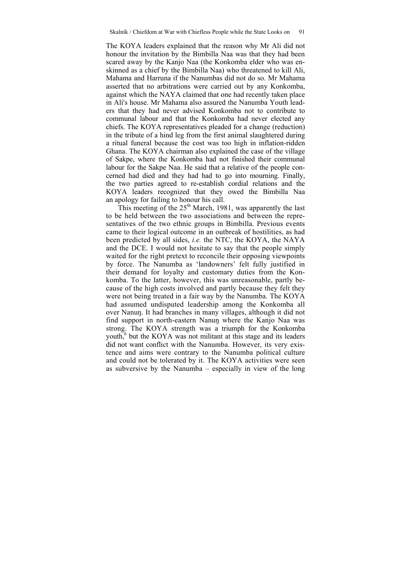The KOYA leaders explained that the reason why Mr Ali did not honour the invitation by the Bimbilla Naa was that they had been scared away by the Kanjo Naa (the Konkomba elder who was enskinned as a chief by the Bimbilla Naa) who threatened to kill Ali, Mahama and Harruna if the Nanumbas did not do so. Mr Mahama asserted that no arbitrations were carried out by any Konkomba, against which the NAYA claimed that one had recently taken place in Ali's house. Mr Mahama also assured the Nanumba Youth leaders that they had never advised Konkomba not to contribute to communal labour and that the Konkomba had never elected any chiefs. The KOYA representatives pleaded for a change (reduction) in the tribute of a hind leg from the first animal slaughtered during a ritual funeral because the cost was too high in inflation-ridden Ghana. The KOYA chairman also explained the case of the village of Sakpe, where the Konkomba had not finished their communal labour for the Sakpe Naa. He said that a relative of the people concerned had died and they had had to go into mourning. Finally, the two parties agreed to re-establish cordial relations and the KOYA leaders recognized that they owed the Bimbilla Naa an apology for failing to honour his call.

This meeting of the  $25<sup>th</sup>$  March, 1981, was apparently the last to be held between the two associations and between the representatives of the two ethnic groups in Bimbilla. Previous events came to their logical outcome in an outbreak of hostilities, as had been predicted by all sides, *i.e.* the NTC, the KOYA, the NAYA and the DCE. I would not hesitate to say that the people simply waited for the right pretext to reconcile their opposing viewpoints by force. The Nanumba as 'landowners' felt fully justified in their demand for loyalty and customary duties from the Konkomba. To the latter, however, this was unreasonable, partly because of the high costs involved and partly because they felt they were not being treated in a fair way by the Nanumba. The KOYA had assumed undisputed leadership among the Konkomba all over Nanuŋ. It had branches in many villages, although it did not find support in north-eastern Nanuŋ where the Kanjo Naa was strong. The KOYA strength was a triumph for the Konkomba youth,<sup>6</sup> but the KOYA was not militant at this stage and its leaders did not want conflict with the Nanumba. However, its very existence and aims were contrary to the Nanumba political culture and could not be tolerated by it. The KOYA activities were seen as subversive by the Nanumba – especially in view of the long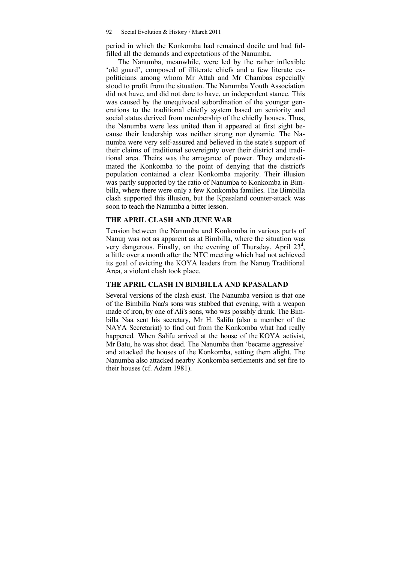period in which the Konkomba had remained docile and had fulfilled all the demands and expectations of the Nanumba.

The Nanumba, meanwhile, were led by the rather inflexible 'old guard', composed of illiterate chiefs and a few literate expoliticians among whom Mr Attah and Mr Chambas especially stood to profit from the situation. The Nanumba Youth Association did not have, and did not dare to have, an independent stance. This was caused by the unequivocal subordination of the younger generations to the traditional chiefly system based on seniority and social status derived from membership of the chiefly houses. Thus, the Nanumba were less united than it appeared at first sight because their leadership was neither strong nor dynamic. The Nanumba were very self-assured and believed in the state's support of their claims of traditional sovereignty over their district and traditional area. Theirs was the arrogance of power. They underestimated the Konkomba to the point of denying that the district's population contained a clear Konkomba majority. Their illusion was partly supported by the ratio of Nanumba to Konkomba in Bimbilla, where there were only a few Konkomba families. The Bimbilla clash supported this illusion, but the Kpasaland counter-attack was soon to teach the Nanumba a bitter lesson.

#### **THE APRIL CLASH AND JUNE WAR**

Tension between the Nanumba and Konkomba in various parts of Nanuŋ was not as apparent as at Bimbilla, where the situation was very dangerous. Finally, on the evening of Thursday, April  $23<sup>d</sup>$ , a little over a month after the NTC meeting which had not achieved its goal of evicting the KOYA leaders from the Nanuŋ Traditional Area, a violent clash took place.

#### **THE APRIL CLASH IN BIMBILLA AND KPASALAND**

Several versions of the clash exist. The Nanumba version is that one of the Bimbilla Naa's sons was stabbed that evening, with a weapon made of iron, by one of Ali's sons, who was possibly drunk. The Bimbilla Naa sent his secretary, Mr H. Salifu (also a member of the NAYA Secretariat) to find out from the Konkomba what had really happened. When Salifu arrived at the house of the KOYA activist, Mr Batu, he was shot dead. The Nanumba then 'became aggressive' and attacked the houses of the Konkomba, setting them alight. The Nanumba also attacked nearby Konkomba settlements and set fire to their houses (cf. Adam 1981).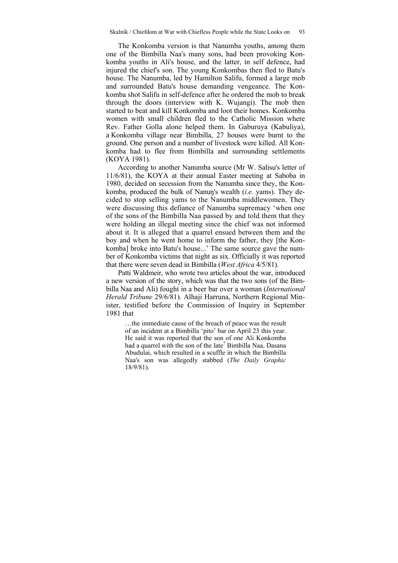The Konkomba version is that Nanumba youths, among them one of the Bimbilla Naa's many sons, had been provoking Konkomba youths in Ali's house, and the latter, in self defence, had injured the chief's son. The young Konkombas then fled to Batu's house. The Nanumba, led by Hamilton Salifu, formed a large mob and surrounded Batu's house demanding vengeance. The Konkomba shot Salifu in self-defence after he ordered the mob to break through the doors (interview with K. Wujangi). The mob then started to beat and kill Konkomba and loot their homes. Konkomba women with small children fled to the Catholic Mission where Rev. Father Golla alone helped them. In Gaburuya (Kabuliya), a Konkomba village near Bimbilla, 27 houses were burnt to the ground. One person and a number of livestock were killed. All Konkomba had to flee from Bimbilla and surrounding settlements (KOYA 1981).

According to another Nanumba source (Mr W. Salisu's letter of 11/6/81), the KOYA at their annual Easter meeting at Saboba in 1980, decided on secession from the Nanumba since they, the Konkomba, produced the bulk of Nanuŋ's wealth (*i.e.* yams). They decided to stop selling yams to the Nanumba middlewomen. They were discussing this defiance of Nanumba supremacy 'when one of the sons of the Bimbilla Naa passed by and told them that they were holding an illegal meeting since the chief was not informed about it. It is alleged that a quarrel ensued between them and the boy and when he went home to inform the father, they [the Konkomba] broke into Batu's house...' The same source gave the number of Konkomba victims that night as six. Officially it was reported that there were seven dead in Bimbilla (*West Africa* 4/5/81).

Patti Waldmeir, who wrote two articles about the war, introduced a new version of the story, which was that the two sons (of the Bimbilla Naa and Ali) fought in a beer bar over a woman (*International Herald Tribune* 29/6/81). Alhaji Harruna, Northern Regional Minister, testified before the Commission of Inquiry in September 1981 that

…the immediate cause of the breach of peace was the result of an incident at a Bimbilla 'pito' bar on April 23 this year. He said it was reported that the son of one Ali Konkomba had a quarrel with the son of the late<sup>7</sup> Bimbilla Naa, Dasana Abudulai, which resulted in a scuffle in which the Bimbilla Naa's son was allegedly stabbed (*The Daily Graphic*  18/9/81).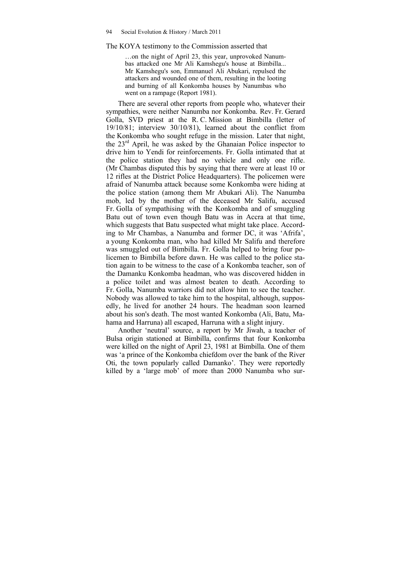#### The KOYA testimony to the Commission asserted that

…on the night of April 23, this year, unprovoked Nanumbas attacked one Mr Ali Kamshegu's house at Bimbilla... Mr Kamshegu's son, Emmanuel Ali Abukari, repulsed the attackers and wounded one of them, resulting in the looting and burning of all Konkomba houses by Nanumbas who went on a rampage (Report 1981).

There are several other reports from people who, whatever their sympathies, were neither Nanumba nor Konkomba. Rev. Fr. Gerard Golla, SVD priest at the R. C. Mission at Bimbilla (letter of 19/10/81; interview 30/10/81), learned about the conflict from the Konkomba who sought refuge in the mission. Later that night, the 23rd April, he was asked by the Ghanaian Police inspector to drive him to Yendi for reinforcements. Fr. Golla intimated that at the police station they had no vehicle and only one rifle. (Mr Chambas disputed this by saying that there were at least 10 or 12 rifles at the District Police Headquarters). The policemen were afraid of Nanumba attack because some Konkomba were hiding at the police station (among them Mr Abukari Ali). The Nanumba mob, led by the mother of the deceased Mr Salifu, accused Fr. Golla of sympathising with the Konkomba and of smuggling Batu out of town even though Batu was in Accra at that time, which suggests that Batu suspected what might take place. According to Mr Chambas, a Nanumba and former DC, it was 'Afrifa', a young Konkomba man, who had killed Mr Salifu and therefore was smuggled out of Bimbilla. Fr. Golla helped to bring four policemen to Bimbilla before dawn. He was called to the police station again to be witness to the case of a Konkomba teacher, son of the Damanku Konkomba headman, who was discovered hidden in a police toilet and was almost beaten to death. According to Fr. Golla, Nanumba warriors did not allow him to see the teacher. Nobody was allowed to take him to the hospital, although, supposedly, he lived for another 24 hours. The headman soon learned about his son's death. The most wanted Konkomba (Ali, Batu, Mahama and Harruna) all escaped, Harruna with a slight injury.

Another 'neutral' source, a report by Mr Jiwah, a teacher of Bulsa origin stationed at Bimbilla, confirms that four Konkomba were killed on the night of April 23, 1981 at Bimbilla. One of them was 'a prince of the Konkomba chiefdom over the bank of the River Oti, the town popularly called Damanko'. They were reportedly killed by a 'large mob' of more than 2000 Nanumba who sur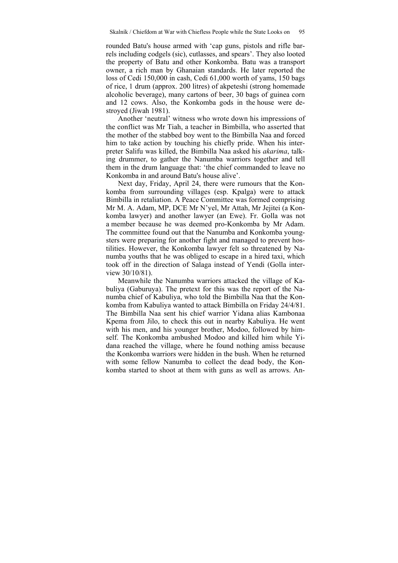rounded Batu's house armed with 'cap guns, pistols and rifle barrels including codgels (sic), cutlasses, and spears'. They also looted the property of Batu and other Konkomba. Batu was a transport owner, a rich man by Ghanaian standards. He later reported the loss of Cedi 150,000 in cash, Cedi 61,000 worth of yams, 150 bags of rice, 1 drum (approx. 200 litres) of akpeteshi (strong homemade alcoholic beverage), many cartons of beer, 30 bags of guinea corn and 12 cows. Also, the Konkomba gods in the house were destroyed (Jiwah 1981).

Another 'neutral' witness who wrote down his impressions of the conflict was Mr Tiah, a teacher in Bimbilla, who asserted that the mother of the stabbed boy went to the Bimbilla Naa and forced him to take action by touching his chiefly pride. When his interpreter Salifu was killed, the Bimbilla Naa asked his *akarima*, talking drummer, to gather the Nanumba warriors together and tell them in the drum language that: 'the chief commanded to leave no Konkomba in and around Batu's house alive'.

Next day, Friday, April 24, there were rumours that the Konkomba from surrounding villages (esp. Kpalga) were to attack Bimbilla in retaliation. A Peace Committee was formed comprising Mr M. A. Adam, MP, DCE Mr N'yel, Mr Attah, Mr Jejitei (a Konkomba lawyer) and another lawyer (an Ewe). Fr. Golla was not a member because he was deemed pro-Konkomba by Mr Adam. The committee found out that the Nanumba and Konkomba youngsters were preparing for another fight and managed to prevent hostilities. However, the Konkomba lawyer felt so threatened by Nanumba youths that he was obliged to escape in a hired taxi, which took off in the direction of Salaga instead of Yendi (Golla interview 30/10/81).

Meanwhile the Nanumba warriors attacked the village of Kabuliya (Gaburuya). The pretext for this was the report of the Nanumba chief of Kabuliya, who told the Bimbilla Naa that the Konkomba from Kabuliya wanted to attack Bimbilla on Friday 24/4/81. The Bimbilla Naa sent his chief warrior Yidana alias Kambonaa Kpema from Jilo, to check this out in nearby Kabuliya. He went with his men, and his younger brother, Modoo, followed by himself. The Konkomba ambushed Modoo and killed him while Yidana reached the village, where he found nothing amiss because the Konkomba warriors were hidden in the bush. When he returned with some fellow Nanumba to collect the dead body, the Konkomba started to shoot at them with guns as well as arrows. An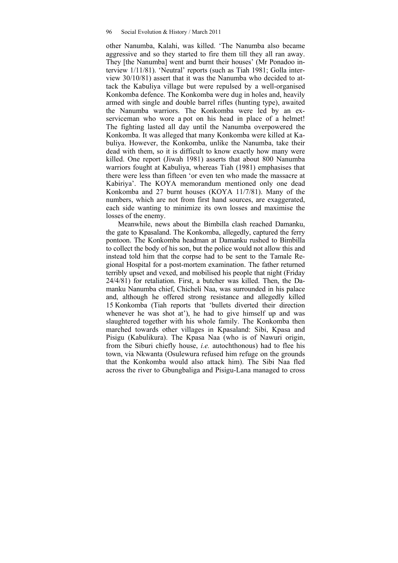other Nanumba, Kalahi, was killed. 'The Nanumba also became aggressive and so they started to fire them till they all ran away. They [the Nanumba] went and burnt their houses' (Mr Ponadoo interview 1/11/81). 'Neutral' reports (such as Tiah 1981; Golla interview 30/10/81) assert that it was the Nanumba who decided to attack the Kabuliya village but were repulsed by a well-organised Konkomba defence. The Konkomba were dug in holes and, heavily armed with single and double barrel rifles (hunting type), awaited the Nanumba warriors. The Konkomba were led by an exserviceman who wore a pot on his head in place of a helmet! The fighting lasted all day until the Nanumba overpowered the Konkomba. It was alleged that many Konkomba were killed at Kabuliya. However, the Konkomba, unlike the Nanumba, take their dead with them, so it is difficult to know exactly how many were killed. One report (Jiwah 1981) asserts that about 800 Nanumba warriors fought at Kabuliya, whereas Tiah (1981) emphasises that there were less than fifteen 'or even ten who made the massacre at Kabiriya'. The KOYA memorandum mentioned only one dead Konkomba and 27 burnt houses (KOYA 11/7/81). Many of the numbers, which are not from first hand sources, are exaggerated, each side wanting to minimize its own losses and maximise the losses of the enemy.

Meanwhile, news about the Bimbilla clash reached Damanku, the gate to Kpasaland. The Konkomba, allegedly, captured the ferry pontoon. The Konkomba headman at Damanku rushed to Bimbilla to collect the body of his son, but the police would not allow this and instead told him that the corpse had to be sent to the Tamale Regional Hospital for a post-mortem examination. The father returned terribly upset and vexed, and mobilised his people that night (Friday 24/4/81) for retaliation. First, a butcher was killed. Then, the Damanku Nanumba chief, Chicheli Naa, was surrounded in his palace and, although he offered strong resistance and allegedly killed 15 Konkomba (Tiah reports that 'bullets diverted their direction whenever he was shot at'), he had to give himself up and was slaughtered together with his whole family. The Konkomba then marched towards other villages in Kpasaland: Sibi, Kpasa and Pisigu (Kabulikura). The Kpasa Naa (who is of Nawuri origin, from the Siburi chiefly house, *i.e.* autochthonous) had to flee his town, via Nkwanta (Osulewura refused him refuge on the grounds that the Konkomba would also attack him). The Sibi Naa fled across the river to Gbungbaliga and Pisigu-Lana managed to cross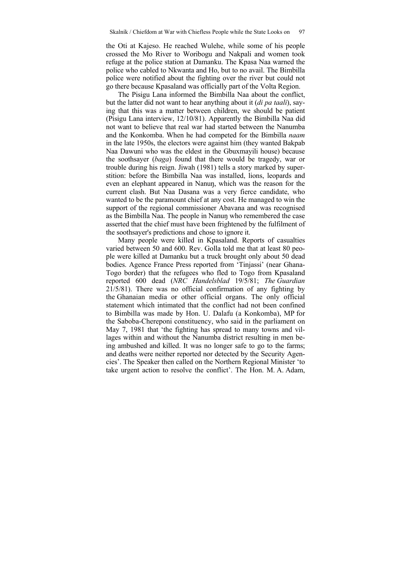the Oti at Kajeso. He reached Wulehe, while some of his people crossed the Mo River to Woribogu and Nakpali and women took refuge at the police station at Damanku. The Kpasa Naa warned the police who cabled to Nkwanta and Ho, but to no avail. The Bimbilla police were notified about the fighting over the river but could not go there because Kpasaland was officially part of the Volta Region.

The Pisigu Lana informed the Bimbilla Naa about the conflict, but the latter did not want to hear anything about it (*di pa taali*), saying that this was a matter between children, we should be patient (Pisigu Lana interview, 12/10/81). Apparently the Bimbilla Naa did not want to believe that real war had started between the Nanumba and the Konkomba. When he had competed for the Bimbilla *naam* in the late 1950s, the electors were against him (they wanted Bakpab Naa Dawuni who was the eldest in the Gbuxmayili house) because the soothsayer (*baga*) found that there would be tragedy, war or trouble during his reign. Jiwah (1981) tells a story marked by superstition: before the Bimbilla Naa was installed, lions, leopards and even an elephant appeared in Nanuŋ, which was the reason for the current clash. But Naa Dasana was a very fierce candidate, who wanted to be the paramount chief at any cost. He managed to win the support of the regional commissioner Abavana and was recognised as the Bimbilla Naa. The people in Nanuŋ who remembered the case asserted that the chief must have been frightened by the fulfilment of the soothsayer's predictions and chose to ignore it.

Many people were killed in Kpasaland. Reports of casualties varied between 50 and 600. Rev. Golla told me that at least 80 people were killed at Damanku but a truck brought only about 50 dead bodies. Agence France Press reported from 'Tinjassi' (near Ghana-Togo border) that the refugees who fled to Togo from Kpasaland reported 600 dead (*NRC Handelsblad* 19/5/81; *The Guardian* 21/5/81). There was no official confirmation of any fighting by the Ghanaian media or other official organs. The only official statement which intimated that the conflict had not been confined to Bimbilla was made by Hon. U. Dalafu (a Konkomba), MP for the Saboba-Chereponi constituency, who said in the parliament on May 7, 1981 that 'the fighting has spread to many towns and villages within and without the Nanumba district resulting in men being ambushed and killed. It was no longer safe to go to the farms; and deaths were neither reported nor detected by the Security Agencies'. The Speaker then called on the Northern Regional Minister 'to take urgent action to resolve the conflict'. The Hon. M. A. Adam,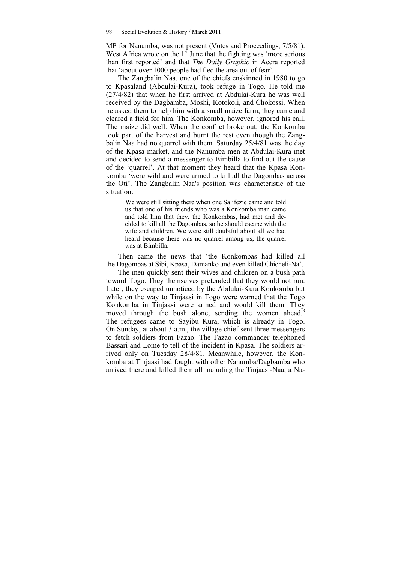MP for Nanumba, was not present (Votes and Proceedings, 7/5/81). West Africa wrote on the  $1<sup>st</sup>$  June that the fighting was 'more serious than first reported' and that *The Daily Graphic* in Accra reported that 'about over 1000 people had fled the area out of fear'.

The Zangbalin Naa, one of the chiefs enskinned in 1980 to go to Kpasaland (Abdulai-Kura), took refuge in Togo. He told me (27/4/82) that when he first arrived at Abdulai-Kura he was well received by the Dagbamba, Moshi, Kotokoli, and Chokossi. When he asked them to help him with a small maize farm, they came and cleared a field for him. The Konkomba, however, ignored his call. The maize did well. When the conflict broke out, the Konkomba took part of the harvest and burnt the rest even though the Zangbalin Naa had no quarrel with them. Saturday 25/4/81 was the day of the Kpasa market, and the Nanumba men at Abdulai-Kura met and decided to send a messenger to Bimbilla to find out the cause of the 'quarrel'. At that moment they heard that the Kpasa Konkomba 'were wild and were armed to kill all the Dagombas across the Oti'. The Zangbalin Naa's position was characteristic of the situation:

We were still sitting there when one Salifezie came and told us that one of his friends who was a Konkomba man came and told him that they, the Konkombas, had met and decided to kill all the Dagombas, so he should escape with the wife and children. We were still doubtful about all we had heard because there was no quarrel among us, the quarrel was at Bimbilla.

Then came the news that 'the Konkombas had killed all the Dagombas at Sibi, Kpasa, Damanko and even killed Chicheli-Na'.

The men quickly sent their wives and children on a bush path toward Togo. They themselves pretended that they would not run. Later, they escaped unnoticed by the Abdulai-Kura Konkomba but while on the way to Tinjaasi in Togo were warned that the Togo Konkomba in Tinjaasi were armed and would kill them. They moved through the bush alone, sending the women ahead.<sup>8</sup> The refugees came to Sayibu Kura, which is already in Togo. On Sunday, at about 3 a.m., the village chief sent three messengers to fetch soldiers from Fazao. The Fazao commander telephoned Bassari and Lome to tell of the incident in Kpasa. The soldiers arrived only on Tuesday 28/4/81. Meanwhile, however, the Konkomba at Tinjaasi had fought with other Nanumba/Dagbamba who arrived there and killed them all including the Tinjaasi-Naa, a Na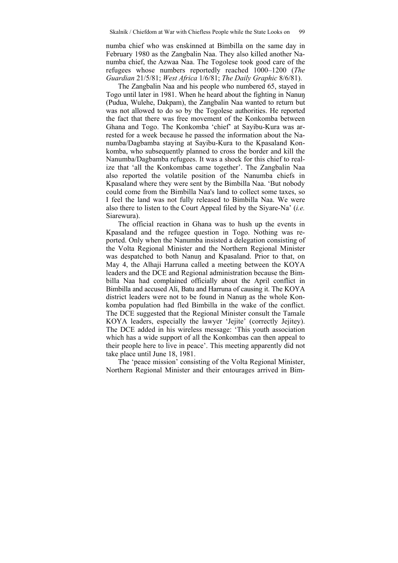numba chief who was enskinned at Bimbilla on the same day in February 1980 as the Zangbalin Naa. They also killed another Nanumba chief, the Azwaa Naa. The Togolese took good care of the refugees whose numbers reportedly reached 1000–1200 (*The Guardian* 21/5/81; *West Africa* 1/6/81; *The Daily Graphic* 8/6/81).

The Zangbalin Naa and his people who numbered 65, stayed in Togo until later in 1981. When he heard about the fighting in Nanuŋ (Pudua, Wulehe, Dakpam), the Zangbalin Naa wanted to return but was not allowed to do so by the Togolese authorities. He reported the fact that there was free movement of the Konkomba between Ghana and Togo. The Konkomba 'chief' at Sayibu-Kura was arrested for a week because he passed the information about the Nanumba/Dagbamba staying at Sayibu-Kura to the Kpasaland Konkomba, who subsequently planned to cross the border and kill the Nanumba/Dagbamba refugees. It was a shock for this chief to realize that 'all the Konkombas came together'. The Zangbalin Naa also reported the volatile position of the Nanumba chiefs in Kpasaland where they were sent by the Bimbilla Naa. 'But nobody could come from the Bimbilla Naa's land to collect some taxes, so I feel the land was not fully released to Bimbilla Naa. We were also there to listen to the Court Appeal filed by the Siyare-Na' (*i.e.* Siarewura).

The official reaction in Ghana was to hush up the events in Kpasaland and the refugee question in Togo. Nothing was reported. Only when the Nanumba insisted a delegation consisting of the Volta Regional Minister and the Northern Regional Minister was despatched to both Nanuŋ and Kpasaland. Prior to that, on May 4, the Alhaji Harruna called a meeting between the KOYA leaders and the DCE and Regional administration because the Bimbilla Naa had complained officially about the April conflict in Bimbilla and accused Ali, Batu and Harruna of causing it. The KOYA district leaders were not to be found in Nanun as the whole Konkomba population had fled Bimbilla in the wake of the conflict. The DCE suggested that the Regional Minister consult the Tamale KOYA leaders, especially the lawyer 'Jejite' (correctly Jejitey). The DCE added in his wireless message: 'This youth association which has a wide support of all the Konkombas can then appeal to their people here to live in peace'. This meeting apparently did not take place until June 18, 1981.

The 'peace mission' consisting of the Volta Regional Minister, Northern Regional Minister and their entourages arrived in Bim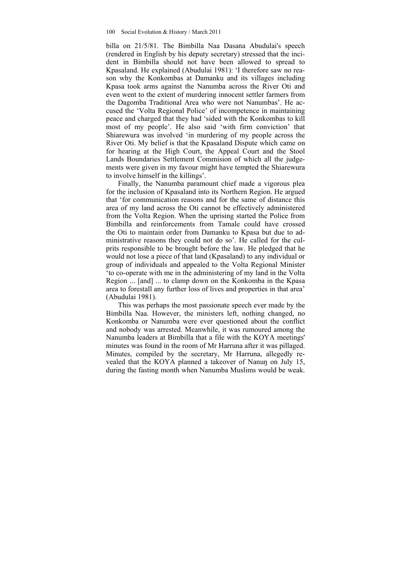billa on 21/5/81. The Bimbilla Naa Dasana Abudulai's speech (rendered in English by his deputy secretary) stressed that the incident in Bimbilla should not have been allowed to spread to Kpasaland. He explained (Abudulai 1981): 'I therefore saw no reason why the Konkombas at Damanku and its villages including Kpasa took arms against the Nanumba across the River Oti and even went to the extent of murdering innocent settler farmers from the Dagomba Traditional Area who were not Nanumbas'. He accused the 'Volta Regional Police' of incompetence in maintaining peace and charged that they had 'sided with the Konkombas to kill most of my people'. He also said 'with firm conviction' that Shiarewura was involved 'in murdering of my people across the River Oti. My belief is that the Kpasaland Dispute which came on for hearing at the High Court, the Appeal Court and the Stool Lands Boundaries Settlement Commision of which all the judgements were given in my favour might have tempted the Shiarewura to involve himself in the killings'.

Finally, the Nanumba paramount chief made a vigorous plea for the inclusion of Kpasaland into its Northern Region. He argued that 'for communication reasons and for the same of distance this area of my land across the Oti cannot be effectively administered from the Volta Region. When the uprising started the Police from Bimbilla and reinforcements from Tamale could have crossed the Oti to maintain order from Damanku to Kpasa but due to administrative reasons they could not do so'. He called for the culprits responsible to be brought before the law. He pledged that he would not lose a piece of that land (Kpasaland) to any individual or group of individuals and appealed to the Volta Regional Minister 'to co-operate with me in the administering of my land in the Volta Region ... [and] ... to clamp down on the Konkomba in the Kpasa area to forestall any further loss of lives and properties in that area' (Abudulai 1981).

This was perhaps the most passionate speech ever made by the Bimbilla Naa. However, the ministers left, nothing changed, no Konkomba or Nanumba were ever questioned about the conflict and nobody was arrested. Meanwhile, it was rumoured among the Nanumba leaders at Bimbilla that a file with the KOYA meetings' minutes was found in the room of Mr Harruna after it was pillaged. Minutes, compiled by the secretary, Mr Harruna, allegedly revealed that the KOYA planned a takeover of Nanuŋ on July 15, during the fasting month when Nanumba Muslims would be weak.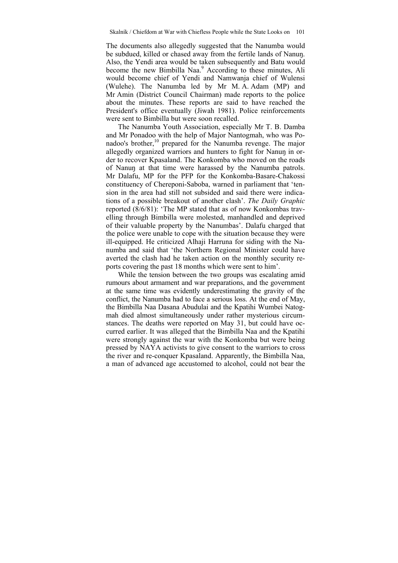The documents also allegedly suggested that the Nanumba would be subdued, killed or chased away from the fertile lands of Nanuŋ. Also, the Yendi area would be taken subsequently and Batu would become the new Bimbilla Naa.<sup>9</sup> According to these minutes, Ali would become chief of Yendi and Namwanja chief of Wulensi (Wulehe). The Nanumba led by Mr M. A. Adam (MP) and Mr Amin (District Council Chairman) made reports to the police about the minutes. These reports are said to have reached the President's office eventually (Jiwah 1981). Police reinforcements were sent to Bimbilla but were soon recalled.

The Nanumba Youth Association, especially Mr T. B. Damba and Mr Ponadoo with the help of Major Nantogmah, who was Ponadoo's brother,<sup>10</sup> prepared for the Nanumba revenge. The major allegedly organized warriors and hunters to fight for Nanuŋ in order to recover Kpasaland. The Konkomba who moved on the roads of Nanuŋ at that time were harassed by the Nanumba patrols. Mr Dalafu, MP for the PFP for the Konkomba-Basare-Chakossi constituency of Chereponi-Saboba, warned in parliament that 'tension in the area had still not subsided and said there were indications of a possible breakout of another clash'. *The Daily Graphic* reported (8/6/81): 'The MP stated that as of now Konkombas travelling through Bimbilla were molested, manhandled and deprived of their valuable property by the Nanumbas'. Dalafu charged that the police were unable to cope with the situation because they were ill-equipped. He criticized Alhaji Harruna for siding with the Nanumba and said that 'the Northern Regional Minister could have averted the clash had he taken action on the monthly security reports covering the past 18 months which were sent to him'.

While the tension between the two groups was escalating amid rumours about armament and war preparations, and the government at the same time was evidently underestimating the gravity of the conflict, the Nanumba had to face a serious loss. At the end of May, the Bimbilla Naa Dasana Abudulai and the Kpatihi Wumbei Natogmah died almost simultaneously under rather mysterious circumstances. The deaths were reported on May 31, but could have occurred earlier. It was alleged that the Bimbilla Naa and the Kpatihi were strongly against the war with the Konkomba but were being pressed by NAYA activists to give consent to the warriors to cross the river and re-conquer Kpasaland. Apparently, the Bimbilla Naa, a man of advanced age accustomed to alcohol, could not bear the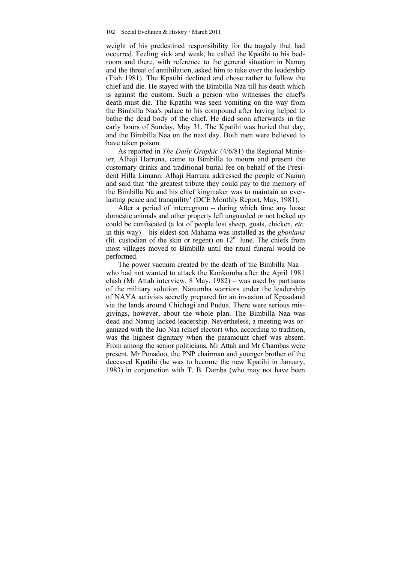weight of his predestined responsibility for the tragedy that had occurred. Feeling sick and weak, he called the Kpatihi to his bedroom and there, with reference to the general situation in Nanuŋ and the threat of annihilation, asked him to take over the leadership (Tiah 1981). The Kpatihi declined and chose rather to follow the chief and die. He stayed with the Bimbilla Naa till his death which is against the custom. Such a person who witnesses the chief's death must die. The Kpatihi was seen vomiting on the way from the Bimbilla Naa's palace to his compound after having helped to bathe the dead body of the chief. He died soon afterwards in the early hours of Sunday, May 31. The Kpatihi was buried that day, and the Bimbilla Naa on the next day. Both men were believed to have taken poison.

As reported in *The Daily Graphic* (4/6/81) the Regional Minister, Alhaji Harruna, came to Bimbilla to mourn and present the customary drinks and traditional burial fee on behalf of the President Hilla Limann. Alhaji Harruna addressed the people of Nanuŋ and said that 'the greatest tribute they could pay to the memory of the Bimbilla Na and his chief kingmaker was to maintain an everlasting peace and tranquility' (DCE Monthly Report, May, 1981).

After a period of interregnum – during which time any loose domestic animals and other property left unguarded or not locked up could be confiscated (a lot of people lost sheep, goats, chicken, *etc.* in this way) – his eldest son Mahama was installed as the *gbonlana* (lit. custodian of the skin or regent) on  $12<sup>th</sup>$  June. The chiefs from most villages moved to Bimbilla until the ritual funeral would be performed.

The power vacuum created by the death of the Bimbilla Naa – who had not wanted to attack the Konkomba after the April 1981 clash (Mr Attah interview, 8 May, 1982) – was used by partisans of the military solution. Nanumba warriors under the leadership of NAYA activists secretly prepared for an invasion of Kpasaland via the lands around Chichagi and Pudua. There were serious misgivings, however, about the whole plan. The Bimbilla Naa was dead and Nanuŋ lacked leadership. Nevertheless, a meeting was organized with the Juo Naa (chief elector) who, according to tradition, was the highest dignitary when the paramount chief was absent. From among the senior politicians, Mr Attah and Mr Chambas were present. Mr Ponadoo, the PNP chairman and younger brother of the deceased Kpatihi (he was to become the new Kpatihi in January, 1983) in conjunction with T. B. Damba (who may not have been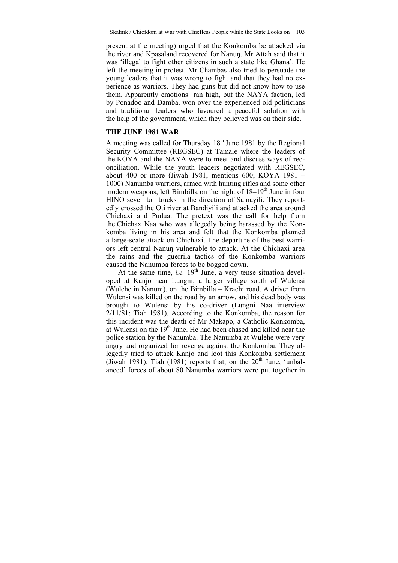present at the meeting) urged that the Konkomba be attacked via the river and Kpasaland recovered for Nanuŋ. Mr Attah said that it was 'illegal to fight other citizens in such a state like Ghana'. He left the meeting in protest. Mr Chambas also tried to persuade the young leaders that it was wrong to fight and that they had no experience as warriors. They had guns but did not know how to use them. Apparently emotions ran high, but the NAYA faction, led by Ponadoo and Damba, won over the experienced old politicians and traditional leaders who favoured a peaceful solution with the help of the government, which they believed was on their side.

## **THE JUNE 1981 WAR**

A meeting was called for Thursday  $18<sup>th</sup>$  June 1981 by the Regional Security Committee (REGSEC) at Tamale where the leaders of the KOYA and the NAYA were to meet and discuss ways of reconciliation. While the youth leaders negotiated with REGSEC, about 400 or more (Jiwah 1981, mentions 600; KOYA 1981 – 1000) Nanumba warriors, armed with hunting rifles and some other modern weapons, left Bimbilla on the night of  $18-19<sup>th</sup>$  June in four HINO seven ton trucks in the direction of Salnayili. They reportedly crossed the Oti river at Bandiyili and attacked the area around Chichaxi and Pudua. The pretext was the call for help from the Chichax Naa who was allegedly being harassed by the Konkomba living in his area and felt that the Konkomba planned a large-scale attack on Chichaxi. The departure of the best warriors left central Nanuŋ vulnerable to attack. At the Chichaxi area the rains and the guerrila tactics of the Konkomba warriors caused the Nanumba forces to be bogged down.

At the same time, *i.e.* 19<sup>th</sup> June, a very tense situation developed at Kanjo near Lungni, a larger village south of Wulensi (Wulehe in Nanuni), on the Bimbilla – Krachi road. A driver from Wulensi was killed on the road by an arrow, and his dead body was brought to Wulensi by his co-driver (Lungni Naa interview 2/11/81; Tiah 1981). According to the Konkomba, the reason for this incident was the death of Mr Makapo, a Catholic Konkomba, at Wulensi on the 19<sup>th</sup> June. He had been chased and killed near the police station by the Nanumba. The Nanumba at Wulehe were very angry and organized for revenge against the Konkomba. They allegedly tried to attack Kanjo and loot this Konkomba settlement (Jiwah 1981). Tiah (1981) reports that, on the  $20<sup>th</sup>$  June, 'unbalanced' forces of about 80 Nanumba warriors were put together in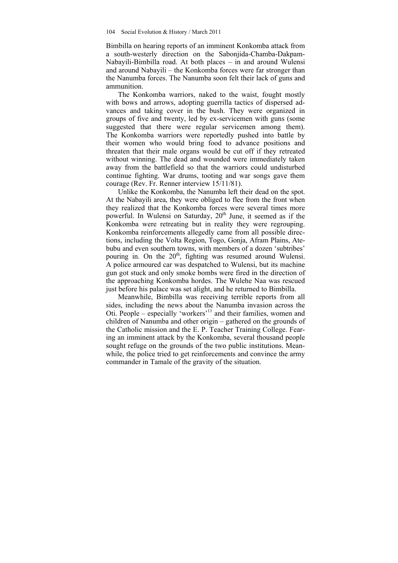Bimbilla on hearing reports of an imminent Konkomba attack from a south-westerly direction on the Sabonjida-Chamba-Dakpam-Nabayili-Bimbilla road. At both places – in and around Wulensi and around Nabayili – the Konkomba forces were far stronger than the Nanumba forces. The Nanumba soon felt their lack of guns and ammunition.

The Konkomba warriors, naked to the waist, fought mostly with bows and arrows, adopting guerrilla tactics of dispersed advances and taking cover in the bush. They were organized in groups of five and twenty, led by ex-servicemen with guns (some suggested that there were regular servicemen among them). The Konkomba warriors were reportedly pushed into battle by their women who would bring food to advance positions and threaten that their male organs would be cut off if they retreated without winning. The dead and wounded were immediately taken away from the battlefield so that the warriors could undisturbed continue fighting. War drums, tooting and war songs gave them courage (Rev. Fr. Renner interview 15/11/81).

Unlike the Konkomba, the Nanumba left their dead on the spot. At the Nabayili area, they were obliged to flee from the front when they realized that the Konkomba forces were several times more powerful. In Wulensi on Saturday,  $20<sup>th</sup>$  June, it seemed as if the Konkomba were retreating but in reality they were regrouping. Konkomba reinforcements allegedly came from all possible directions, including the Volta Region, Togo, Gonja, Afram Plains, Atebubu and even southern towns, with members of a dozen 'subtribes' pouring in. On the  $20<sup>th</sup>$ , fighting was resumed around Wulensi. A police armoured car was despatched to Wulensi, but its machine gun got stuck and only smoke bombs were fired in the direction of the approaching Konkomba hordes. The Wulehe Naa was rescued just before his palace was set alight, and he returned to Bimbilla.

Meanwhile, Bimbilla was receiving terrible reports from all sides, including the news about the Nanumba invasion across the Oti. People – especially 'workers'11 and their families, women and children of Nanumba and other origin – gathered on the grounds of the Catholic mission and the E. P. Teacher Training College. Fearing an imminent attack by the Konkomba, several thousand people sought refuge on the grounds of the two public institutions. Meanwhile, the police tried to get reinforcements and convince the army commander in Tamale of the gravity of the situation.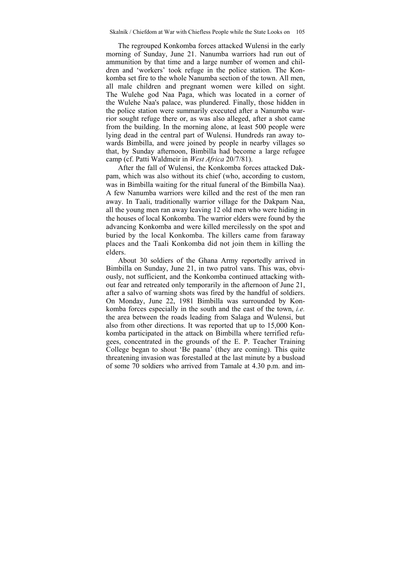The regrouped Konkomba forces attacked Wulensi in the early morning of Sunday, June 21. Nanumba warriors had run out of ammunition by that time and a large number of women and children and 'workers' took refuge in the police station. The Konkomba set fire to the whole Nanumba section of the town. All men, all male children and pregnant women were killed on sight. The Wulehe god Naa Paga, which was located in a corner of the Wulehe Naa's palace, was plundered. Finally, those hidden in the police station were summarily executed after a Nanumba warrior sought refuge there or, as was also alleged, after a shot came from the building. In the morning alone, at least 500 people were lying dead in the central part of Wulensi. Hundreds ran away towards Bimbilla, and were joined by people in nearby villages so that, by Sunday afternoon, Bimbilla had become a large refugee camp (cf. Patti Waldmeir in *West Africa* 20/7/81).

After the fall of Wulensi, the Konkomba forces attacked Dakpam, which was also without its chief (who, according to custom, was in Bimbilla waiting for the ritual funeral of the Bimbilla Naa). A few Nanumba warriors were killed and the rest of the men ran away. In Taali, traditionally warrior village for the Dakpam Naa, all the young men ran away leaving 12 old men who were hiding in the houses of local Konkomba. The warrior elders were found by the advancing Konkomba and were killed mercilessly on the spot and buried by the local Konkomba. The killers came from faraway places and the Taali Konkomba did not join them in killing the elders.

About 30 soldiers of the Ghana Army reportedly arrived in Bimbilla on Sunday, June 21, in two patrol vans. This was, obviously, not sufficient, and the Konkomba continued attacking without fear and retreated only temporarily in the afternoon of June 21, after a salvo of warning shots was fired by the handful of soldiers. On Monday, June 22, 1981 Bimbilla was surrounded by Konkomba forces especially in the south and the east of the town, *i.e.* the area between the roads leading from Salaga and Wulensi, but also from other directions. It was reported that up to 15,000 Konkomba participated in the attack on Bimbilla where terrified refugees, concentrated in the grounds of the E. P. Teacher Training College began to shout 'Be paana' (they are coming). This quite threatening invasion was forestalled at the last minute by a busload of some 70 soldiers who arrived from Tamale at 4.30 p.m. and im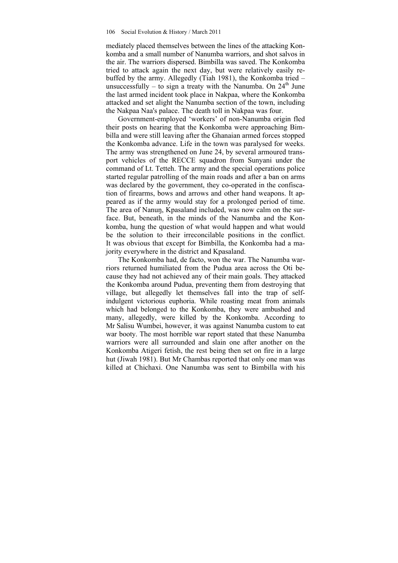mediately placed themselves between the lines of the attacking Konkomba and a small number of Nanumba warriors, and shot salvos in the air. The warriors dispersed. Bimbilla was saved. The Konkomba tried to attack again the next day, but were relatively easily rebuffed by the army. Allegedly (Tiah 1981), the Konkomba tried – unsuccessfully – to sign a treaty with the Nanumba. On  $24<sup>th</sup>$  June the last armed incident took place in Nakpaa, where the Konkomba attacked and set alight the Nanumba section of the town, including the Nakpaa Naa's palace. The death toll in Nakpaa was four.

Government-employed 'workers' of non-Nanumba origin fled their posts on hearing that the Konkomba were approaching Bimbilla and were still leaving after the Ghanaian armed forces stopped the Konkomba advance. Life in the town was paralysed for weeks. The army was strengthened on June 24, by several armoured transport vehicles of the RECCE squadron from Sunyani under the command of Lt. Tetteh. The army and the special operations police started regular patrolling of the main roads and after a ban on arms was declared by the government, they co-operated in the confiscation of firearms, bows and arrows and other hand weapons. It appeared as if the army would stay for a prolonged period of time. The area of Nanuŋ, Kpasaland included, was now calm on the surface. But, beneath, in the minds of the Nanumba and the Konkomba, hung the question of what would happen and what would be the solution to their irreconcilable positions in the conflict. It was obvious that except for Bimbilla, the Konkomba had a majority everywhere in the district and Kpasaland.

The Konkomba had, de facto, won the war. The Nanumba warriors returned humiliated from the Pudua area across the Oti because they had not achieved any of their main goals. They attacked the Konkomba around Pudua, preventing them from destroying that village, but allegedly let themselves fall into the trap of selfindulgent victorious euphoria. While roasting meat from animals which had belonged to the Konkomba, they were ambushed and many, allegedly, were killed by the Konkomba. According to Mr Salisu Wumbei, however, it was against Nanumba custom to eat war booty. The most horrible war report stated that these Nanumba warriors were all surrounded and slain one after another on the Konkomba Atigeri fetish, the rest being then set on fire in a large hut (Jiwah 1981). But Mr Chambas reported that only one man was killed at Chichaxi. One Nanumba was sent to Bimbilla with his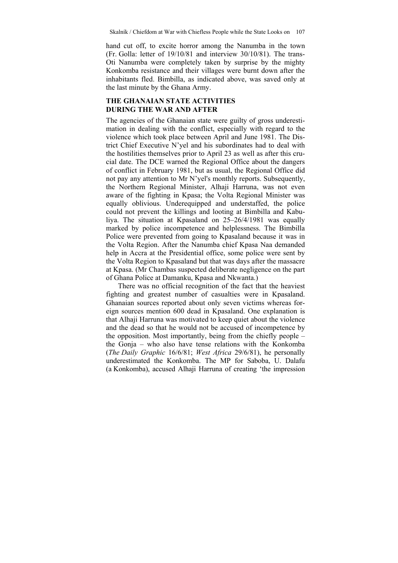hand cut off, to excite horror among the Nanumba in the town (Fr. Golla: letter of 19/10/81 and interview 30/10/81). The trans-Oti Nanumba were completely taken by surprise by the mighty Konkomba resistance and their villages were burnt down after the inhabitants fled. Bimbilla, as indicated above, was saved only at the last minute by the Ghana Army.

## **THE GHANAIAN STATE ACTIVITIES DURING THE WAR AND AFTER**

The agencies of the Ghanaian state were guilty of gross underestimation in dealing with the conflict, especially with regard to the violence which took place between April and June 1981. The District Chief Executive N'yel and his subordinates had to deal with the hostilities themselves prior to April 23 as well as after this crucial date. The DCE warned the Regional Office about the dangers of conflict in February 1981, but as usual, the Regional Office did not pay any attention to Mr N'yel's monthly reports. Subsequently, the Northern Regional Minister, Alhaji Harruna, was not even aware of the fighting in Kpasa; the Volta Regional Minister was equally oblivious. Underequipped and understaffed, the police could not prevent the killings and looting at Bimbilla and Kabuliya. The situation at Kpasaland on 25–26/4/1981 was equally marked by police incompetence and helplessness. The Bimbilla Police were prevented from going to Kpasaland because it was in the Volta Region. After the Nanumba chief Kpasa Naa demanded help in Accra at the Presidential office, some police were sent by the Volta Region to Kpasaland but that was days after the massacre at Kpasa. (Mr Chambas suspected deliberate negligence on the part of Ghana Police at Damanku, Kpasa and Nkwanta.)

There was no official recognition of the fact that the heaviest fighting and greatest number of casualties were in Kpasaland. Ghanaian sources reported about only seven victims whereas foreign sources mention 600 dead in Kpasaland. One explanation is that Alhaji Harruna was motivated to keep quiet about the violence and the dead so that he would not be accused of incompetence by the opposition. Most importantly, being from the chiefly people – the Gonja – who also have tense relations with the Konkomba (*The Daily Graphic* 16/6/81; *West Africa* 29/6/81), he personally underestimated the Konkomba. The MP for Saboba, U. Dalafu (a Konkomba), accused Alhaji Harruna of creating 'the impression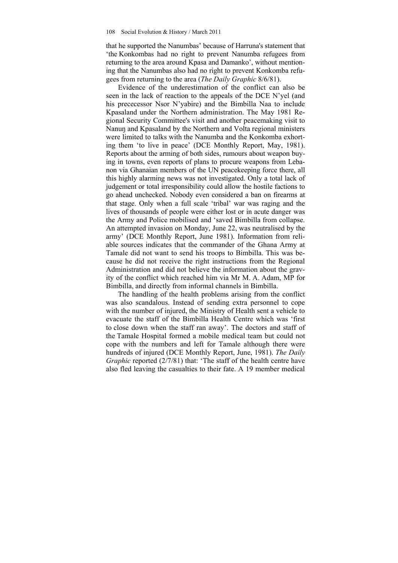that he supported the Nanumbas' because of Harruna's statement that 'the Konkombas had no right to prevent Nanumba refugees from returning to the area around Kpasa and Damanko', without mentioning that the Nanumbas also had no right to prevent Konkomba refugees from returning to the area (*The Daily Graphic* 8/6/81).

Evidence of the underestimation of the conflict can also be seen in the lack of reaction to the appeals of the DCE N'yel (and his prececessor Nsor N'yabire) and the Bimbilla Naa to include Kpasaland under the Northern administration. The May 1981 Regional Security Committee's visit and another peacemaking visit to Nanuŋ and Kpasaland by the Northern and Volta regional ministers were limited to talks with the Nanumba and the Konkomba exhorting them 'to live in peace' (DCE Monthly Report, May, 1981). Reports about the arming of both sides, rumours about weapon buying in towns, even reports of plans to procure weapons from Lebanon via Ghanaian members of the UN peacekeeping force there, all this highly alarming news was not investigated. Only a total lack of judgement or total irresponsibility could allow the hostile factions to go ahead unchecked. Nobody even considered a ban on firearms at that stage. Only when a full scale 'tribal' war was raging and the lives of thousands of people were either lost or in acute danger was the Army and Police mobilised and 'saved Bimbilla from collapse. An attempted invasion on Monday, June 22, was neutralised by the army' (DCE Monthly Report, June 1981). Information from reliable sources indicates that the commander of the Ghana Army at Tamale did not want to send his troops to Bimbilla. This was because he did not receive the right instructions from the Regional Administration and did not believe the information about the gravity of the conflict which reached him via Mr M. A. Adam, MP for Bimbilla, and directly from informal channels in Bimbilla.

The handling of the health problems arising from the conflict was also scandalous. Instead of sending extra personnel to cope with the number of injured, the Ministry of Health sent a vehicle to evacuate the staff of the Bimbilla Health Centre which was 'first to close down when the staff ran away'. The doctors and staff of the Tamale Hospital formed a mobile medical team but could not cope with the numbers and left for Tamale although there were hundreds of injured (DCE Monthly Report, June, 1981). *The Daily Graphic* reported (2/7/81) that: 'The staff of the health centre have also fled leaving the casualties to their fate. A 19 member medical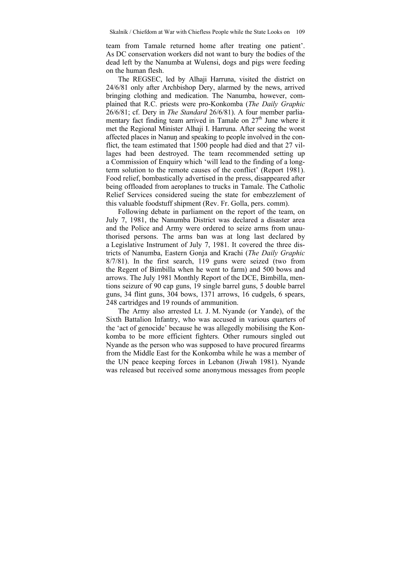team from Tamale returned home after treating one patient'. As DC conservation workers did not want to bury the bodies of the dead left by the Nanumba at Wulensi, dogs and pigs were feeding on the human flesh.

The REGSEC, led by Alhaji Harruna, visited the district on 24/6/81 only after Archbishop Dery, alarmed by the news, arrived bringing clothing and medication. The Nanumba, however, complained that R.C. priests were pro-Konkomba (*The Daily Graphic* 26/6/81; cf. Dery in *The Standard* 26/6/81). A four member parliamentary fact finding team arrived in Tamale on  $27<sup>th</sup>$  June where it met the Regional Minister Alhaji I. Harruna. After seeing the worst affected places in Nanuŋ and speaking to people involved in the conflict, the team estimated that 1500 people had died and that 27 villages had been destroyed. The team recommended setting up a Commission of Enquiry which 'will lead to the finding of a longterm solution to the remote causes of the conflict' (Report 1981). Food relief, bombastically advertised in the press, disappeared after being offloaded from aeroplanes to trucks in Tamale. The Catholic Relief Services considered sueing the state for embezzlement of this valuable foodstuff shipment (Rev. Fr. Golla, pers. comm).

Following debate in parliament on the report of the team, on July 7, 1981, the Nanumba District was declared a disaster area and the Police and Army were ordered to seize arms from unauthorised persons. The arms ban was at long last declared by a Legislative Instrument of July 7, 1981. It covered the three districts of Nanumba, Eastern Gonja and Krachi (*The Daily Graphic* 8/7/81). In the first search, 119 guns were seized (two from the Regent of Bimbilla when he went to farm) and 500 bows and arrows. The July 1981 Monthly Report of the DCE, Bimbilla, mentions seizure of 90 cap guns, 19 single barrel guns, 5 double barrel guns, 34 flint guns, 304 bows, 1371 arrows, 16 cudgels, 6 spears, 248 cartridges and 19 rounds of ammunition.

The Army also arrested Lt. J. M. Nyande (or Yande), of the Sixth Battalion Infantry, who was accused in various quarters of the 'act of genocide' because he was allegedly mobilising the Konkomba to be more efficient fighters. Other rumours singled out Nyande as the person who was supposed to have procured firearms from the Middle East for the Konkomba while he was a member of the UN peace keeping forces in Lebanon (Jiwah 1981). Nyande was released but received some anonymous messages from people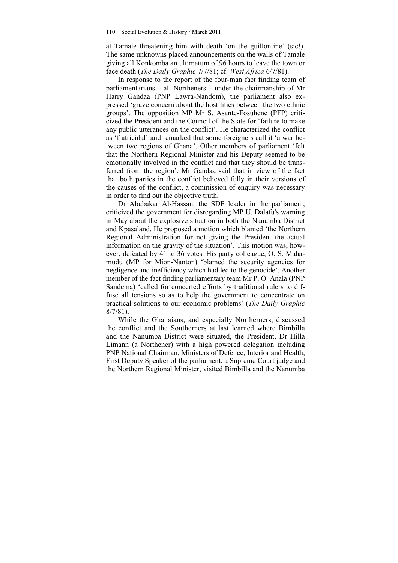at Tamale threatening him with death 'on the guillontine' (sic!). The same unknowns placed announcements on the walls of Tamale giving all Konkomba an ultimatum of 96 hours to leave the town or face death (*The Daily Graphic* 7/7/81; cf. *West Africa* 6/7/81).

In response to the report of the four-man fact finding team of parliamentarians – all Northeners – under the chairmanship of Mr Harry Gandaa (PNP Lawra-Nandom), the parliament also expressed 'grave concern about the hostilities between the two ethnic groups'. The opposition MP Mr S. Asante-Fosuhene (PFP) criticized the President and the Council of the State for 'failure to make any public utterances on the conflict'. He characterized the conflict as 'fratricidal' and remarked that some foreigners call it 'a war between two regions of Ghana'. Other members of parliament 'felt that the Northern Regional Minister and his Deputy seemed to be emotionally involved in the conflict and that they should be transferred from the region'. Mr Gandaa said that in view of the fact that both parties in the conflict believed fully in their versions of the causes of the conflict, a commission of enquiry was necessary in order to find out the objective truth.

Dr Abubakar Al-Hassan, the SDF leader in the parliament, criticized the government for disregarding MP U. Dalafu's warning in May about the explosive situation in both the Nanumba District and Kpasaland. He proposed a motion which blamed 'the Northern Regional Administration for not giving the President the actual information on the gravity of the situation'. This motion was, however, defeated by 41 to 36 votes. His party colleague, O. S. Mahamudu (MP for Mion-Nanton) 'blamed the security agencies for negligence and inefficiency which had led to the genocide'. Another member of the fact finding parliamentary team Mr P. O. Anala (PNP Sandema) 'called for concerted efforts by traditional rulers to diffuse all tensions so as to help the government to concentrate on practical solutions to our economic problems' (*The Daily Graphic* 8/7/81).

While the Ghanaians, and especially Northerners, discussed the conflict and the Southerners at last learned where Bimbilla and the Nanumba District were situated, the President, Dr Hilla Limann (a Northener) with a high powered delegation including PNP National Chairman, Ministers of Defence, Interior and Health, First Deputy Speaker of the parliament, a Supreme Court judge and the Northern Regional Minister, visited Bimbilla and the Nanumba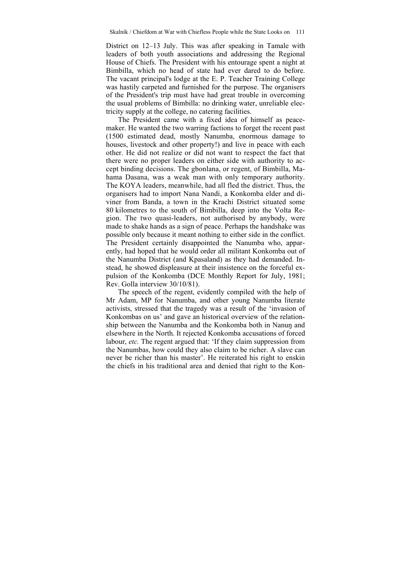District on 12–13 July. This was after speaking in Tamale with leaders of both youth associations and addressing the Regional House of Chiefs. The President with his entourage spent a night at Bimbilla, which no head of state had ever dared to do before. The vacant principal's lodge at the E. P. Teacher Training College was hastily carpeted and furnished for the purpose. The organisers of the President's trip must have had great trouble in overcoming the usual problems of Bimbilla: no drinking water, unreliable electricity supply at the college, no catering facilities.

The President came with a fixed idea of himself as peacemaker. He wanted the two warring factions to forget the recent past (1500 estimated dead, mostly Nanumba, enormous damage to houses, livestock and other property!) and live in peace with each other. He did not realize or did not want to respect the fact that there were no proper leaders on either side with authority to accept binding decisions. The gbonlana, or regent, of Bimbilla, Mahama Dasana, was a weak man with only temporary authority. The KOYA leaders, meanwhile, had all fled the district. Thus, the organisers had to import Nana Nandi, a Konkomba elder and diviner from Banda, a town in the Krachi District situated some 80 kilometres to the south of Bimbilla, deep into the Volta Region. The two quasi-leaders, not authorised by anybody, were made to shake hands as a sign of peace. Perhaps the handshake was possible only because it meant nothing to either side in the conflict. The President certainly disappointed the Nanumba who, apparently, had hoped that he would order all militant Konkomba out of the Nanumba District (and Kpasaland) as they had demanded. Instead, he showed displeasure at their insistence on the forceful expulsion of the Konkomba (DCE Monthly Report for July, 1981; Rev. Golla interview 30/10/81).

The speech of the regent, evidently compiled with the help of Mr Adam, MP for Nanumba, and other young Nanumba literate activists, stressed that the tragedy was a result of the 'invasion of Konkombas on us' and gave an historical overview of the relationship between the Nanumba and the Konkomba both in Nanuŋ and elsewhere in the North. It rejected Konkomba accusations of forced labour, *etc.* The regent argued that: 'If they claim suppression from the Nanumbas, how could they also claim to be richer. A slave can never be richer than his master'. He reiterated his right to enskin the chiefs in his traditional area and denied that right to the Kon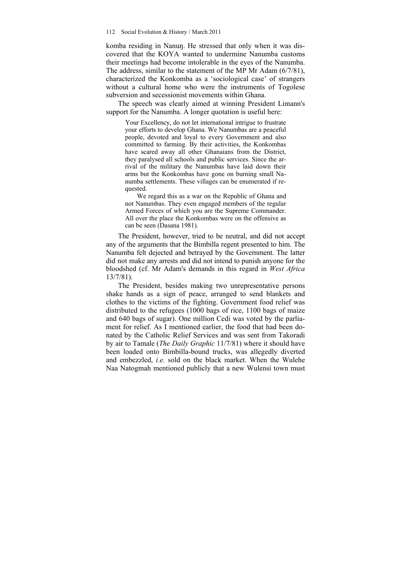komba residing in Nanuŋ. He stressed that only when it was discovered that the KOYA wanted to undermine Nanumba customs their meetings had become intolerable in the eyes of the Nanumba. The address, similar to the statement of the MP Mr Adam (6/7/81), characterized the Konkomba as a 'sociological case' of strangers without a cultural home who were the instruments of Togolese subversion and secessionist movements within Ghana.

The speech was clearly aimed at winning President Limann's support for the Nanumba. A longer quotation is useful here:

Your Excellency, do not let international intrigue to frustrate your efforts to develop Ghana. We Nanumbas are a peaceful people, devoted and loyal to every Government and also committed to farming. By their activities, the Konkombas have scared away all other Ghanaians from the District, they paralysed all schools and public services. Since the arrival of the military the Nanumbas have laid down their arms but the Konkombas have gone on burning small Nanumba settlements. These villages can be enumerated if requested.

We regard this as a war on the Republic of Ghana and not Nanumbas. They even engaged members of the regular Armed Forces of which you are the Supreme Commander. All over the place the Konkombas were on the offensive as can be seen (Dasana 1981).

The President, however, tried to be neutral, and did not accept any of the arguments that the Bimbilla regent presented to him. The Nanumba felt dejected and betrayed by the Government. The latter did not make any arrests and did not intend to punish anyone for the bloodshed (cf. Mr Adam's demands in this regard in *West Africa* 13/7/81).

The President, besides making two unrepresentative persons shake hands as a sign of peace, arranged to send blankets and clothes to the victims of the fighting. Government food relief was distributed to the refugees (1000 bags of rice, 1100 bags of maize and 640 bags of sugar). One million Cedi was voted by the parliament for relief. As I mentioned earlier, the food that had been donated by the Catholic Relief Services and was sent from Takoradi by air to Tamale (*The Daily Graphic* 11/7/81) where it should have been loaded onto Bimbilla-bound trucks, was allegedly diverted and embezzled, *i.e.* sold on the black market. When the Wulehe Naa Natogmah mentioned publicly that a new Wulensi town must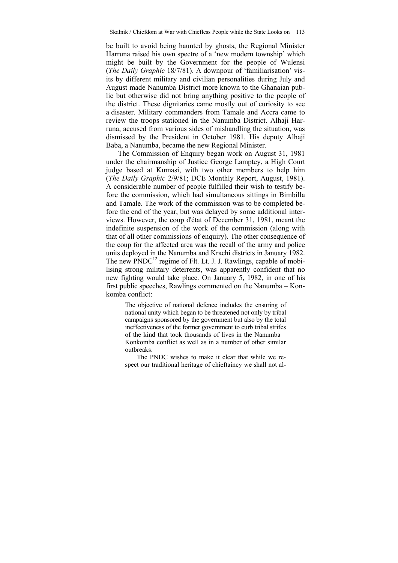be built to avoid being haunted by ghosts, the Regional Minister Harruna raised his own spectre of a 'new modern township' which might be built by the Government for the people of Wulensi (*The Daily Graphic* 18/7/81). A downpour of 'familiarisation' visits by different military and civilian personalities during July and August made Nanumba District more known to the Ghanaian public but otherwise did not bring anything positive to the people of the district. These dignitaries came mostly out of curiosity to see a disaster. Military commanders from Tamale and Accra came to review the troops stationed in the Nanumba District. Alhaji Harruna, accused from various sides of mishandling the situation, was dismissed by the President in October 1981. His deputy Alhaji Baba, a Nanumba, became the new Regional Minister.

The Commission of Enquiry began work on August 31, 1981 under the chairmanship of Justice George Lamptey, a High Court judge based at Kumasi, with two other members to help him (*The Daily Graphic* 2/9/81; DCE Monthly Report, August, 1981). A considerable number of people fulfilled their wish to testify before the commission, which had simultaneous sittings in Bimbilla and Tamale. The work of the commission was to be completed before the end of the year, but was delayed by some additional interviews. However, the coup d'état of December 31, 1981, meant the indefinite suspension of the work of the commission (along with that of all other commissions of enquiry). The other consequence of the coup for the affected area was the recall of the army and police units deployed in the Nanumba and Krachi districts in January 1982. The new  $PNDC<sup>12</sup>$  regime of Flt. Lt. J. J. Rawlings, capable of mobilising strong military deterrents, was apparently confident that no new fighting would take place. On January 5, 1982, in one of his first public speeches, Rawlings commented on the Nanumba – Konkomba conflict:

The objective of national defence includes the ensuring of national unity which began to be threatened not only by tribal campaigns sponsored by the government but also by the total ineffectiveness of the former government to curb tribal strifes of the kind that took thousands of lives in the Nanumba – Konkomba conflict as well as in a number of other similar outbreaks.

The PNDC wishes to make it clear that while we respect our traditional heritage of chieftaincy we shall not al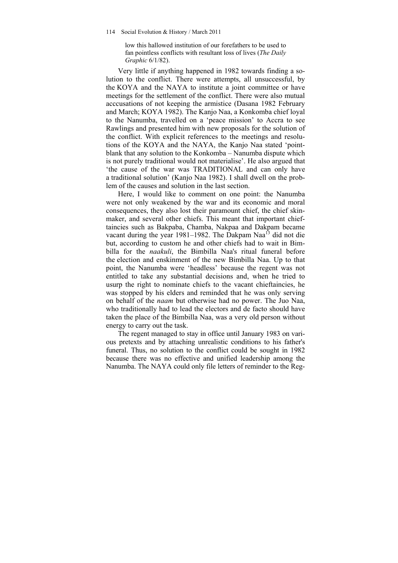low this hallowed institution of our forefathers to be used to fan pointless conflicts with resultant loss of lives (*The Daily Graphic* 6/1/82).

Very little if anything happened in 1982 towards finding a solution to the conflict. There were attempts, all unsuccessful, by the KOYA and the NAYA to institute a joint committee or have meetings for the settlement of the conflict. There were also mutual acccusations of not keeping the armistice (Dasana 1982 February and March; KOYA 1982). The Kanjo Naa, a Konkomba chief loyal to the Nanumba, travelled on a 'peace mission' to Accra to see Rawlings and presented him with new proposals for the solution of the conflict. With explicit references to the meetings and resolutions of the KOYA and the NAYA, the Kanjo Naa stated 'pointblank that any solution to the Konkomba – Nanumba dispute which is not purely traditional would not materialise'. He also argued that 'the cause of the war was TRADITIONAL and can only have a traditional solution' (Kanjo Naa 1982). I shall dwell on the problem of the causes and solution in the last section.

Here, I would like to comment on one point: the Nanumba were not only weakened by the war and its economic and moral consequences, they also lost their paramount chief, the chief skinmaker, and several other chiefs. This meant that important chieftaincies such as Bakpaba, Chamba, Nakpaa and Dakpam became vacant during the year 1981–1982. The Dakpam Naa $^{13}$  did not die but, according to custom he and other chiefs had to wait in Bimbilla for the *naakuli*, the Bimbilla Naa's ritual funeral before the election and enskinment of the new Bimbilla Naa. Up to that point, the Nanumba were 'headless' because the regent was not entitled to take any substantial decisions and, when he tried to usurp the right to nominate chiefs to the vacant chieftaincies, he was stopped by his elders and reminded that he was only serving on behalf of the *naam* but otherwise had no power. The Juo Naa, who traditionally had to lead the electors and de facto should have taken the place of the Bimbilla Naa, was a very old person without energy to carry out the task.

The regent managed to stay in office until January 1983 on various pretexts and by attaching unrealistic conditions to his father's funeral. Thus, no solution to the conflict could be sought in 1982 because there was no effective and unified leadership among the Nanumba. The NAYA could only file letters of reminder to the Reg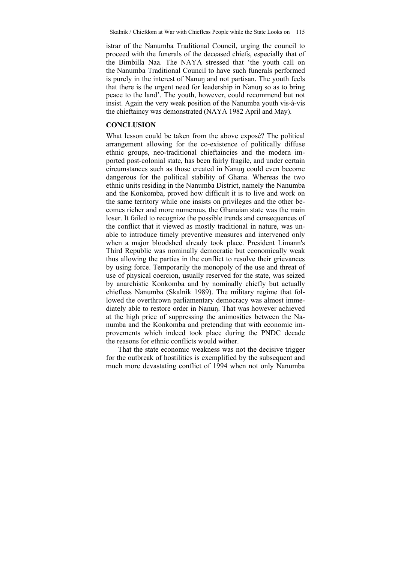istrar of the Nanumba Traditional Council, urging the council to proceed with the funerals of the deceased chiefs, especially that of the Bimbilla Naa. The NAYA stressed that 'the youth call on the Nanumba Traditional Council to have such funerals performed is purely in the interest of Nanun and not partisan. The youth feels that there is the urgent need for leadership in Nanuŋ so as to bring peace to the land'. The youth, however, could recommend but not insist. Again the very weak position of the Nanumba youth vis-à-vis the chieftaincy was demonstrated (NAYA 1982 April and May).

#### **CONCLUSION**

What lesson could be taken from the above exposé? The political arrangement allowing for the co-existence of politically diffuse ethnic groups, neo-traditional chieftaincies and the modern imported post-colonial state, has been fairly fragile, and under certain circumstances such as those created in Nanuŋ could even become dangerous for the political stability of Ghana. Whereas the two ethnic units residing in the Nanumba District, namely the Nanumba and the Konkomba, proved how difficult it is to live and work on the same territory while one insists on privileges and the other becomes richer and more numerous, the Ghanaian state was the main loser. It failed to recognize the possible trends and consequences of the conflict that it viewed as mostly traditional in nature, was unable to introduce timely preventive measures and intervened only when a major bloodshed already took place. President Limann's Third Republic was nominally democratic but economically weak thus allowing the parties in the conflict to resolve their grievances by using force. Temporarily the monopoly of the use and threat of use of physical coercion, usually reserved for the state, was seized by anarchistic Konkomba and by nominally chiefly but actually chiefless Nanumba (Skalník 1989). The military regime that followed the overthrown parliamentary democracy was almost immediately able to restore order in Nanuŋ. That was however achieved at the high price of suppressing the animosities between the Nanumba and the Konkomba and pretending that with economic improvements which indeed took place during the PNDC decade the reasons for ethnic conflicts would wither.

That the state economic weakness was not the decisive trigger for the outbreak of hostilities is exemplified by the subsequent and much more devastating conflict of 1994 when not only Nanumba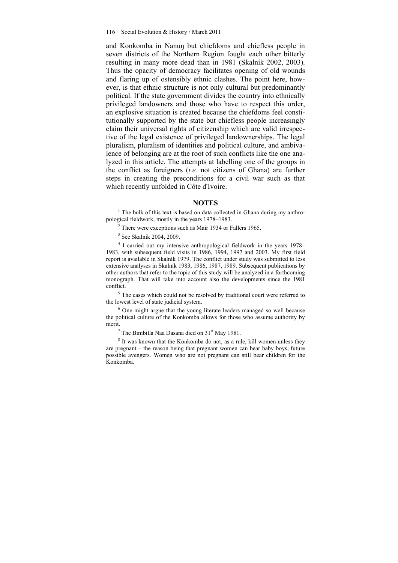and Konkomba in Nanuŋ but chiefdoms and chiefless people in seven districts of the Northern Region fought each other bitterly resulting in many more dead than in 1981 (Skalník 2002, 2003). Thus the opacity of democracy facilitates opening of old wounds and flaring up of ostensibly ethnic clashes. The point here, however, is that ethnic structure is not only cultural but predominantly political. If the state government divides the country into ethnically privileged landowners and those who have to respect this order, an explosive situation is created because the chiefdoms feel constitutionally supported by the state but chiefless people increasingly claim their universal rights of citizenship which are valid irrespective of the legal existence of privileged landownerships. The legal pluralism, pluralism of identities and political culture, and ambivalence of belonging are at the root of such conflicts like the one analyzed in this article. The attempts at labelling one of the groups in the conflict as foreigners (*i.e.* not citizens of Ghana) are further steps in creating the preconditions for a civil war such as that which recently unfolded in Côte d'Ivoire.

#### **NOTES**

<sup>1</sup> The bulk of this text is based on data collected in Ghana during my anthropological fieldwork, mostly in the years 1978–1983.

2 There were exceptions such as Mair 1934 or Fallers 1965.

3 See Skalník 2004, 2009.

<sup>4</sup> I carried out my intensive anthropological fieldwork in the years 1978– 1983, with subsequent field visits in 1986, 1994, 1997 and 2003. My first field report is available in Skalník 1979. The conflict under study was submitted to less extensive analyses in Skalník 1983, 1986, 1987, 1989. Subsequent publications by other authors that refer to the topic of this study will be analyzed in a forthcoming monograph. That will take into account also the developments since the 1981 conflict.

<sup>5</sup> The cases which could not be resolved by traditional court were referred to the lowest level of state judicial system.

<sup>6</sup> One might argue that the young literate leaders managed so well because the political culture of the Konkomba allows for those who assume authority by merit.

<sup>7</sup> The Bimbilla Naa Dasana died on  $31<sup>st</sup>$  May 1981.

<sup>8</sup> It was known that the Konkomba do not, as a rule, kill women unless they are pregnant – the reason being that pregnant women can bear baby boys, future possible avengers. Women who are not pregnant can still bear children for the Konkomba.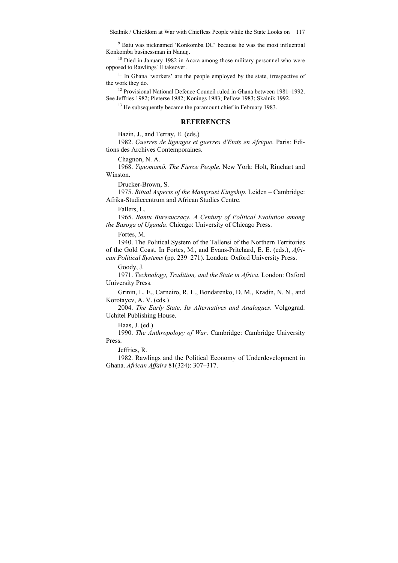9 Batu was nicknamed 'Konkomba DC' because he was the most influential Konkomba businessman in Nanuŋ.

<sup>10</sup> Died in January 1982 in Accra among those military personnel who were opposed to Rawlings' II takeover.

 $11$  In Ghana 'workers' are the people employed by the state, irrespective of the work they do.

<sup>12</sup> Provisional National Defence Council ruled in Ghana between 1981–1992. See Jeffries 1982; Pieterse 1982; Konings 1983; Pellow 1983; Skalník 1992.

<sup>13</sup> He subsequently became the paramount chief in February 1983.

## **REFERENCES**

Bazin, J., and Terray, E. (eds.)

1982. *Guerres de lignages et guerres d'Etats en Afrique*. Paris: Editions des Archives Contemporaines.

Chagnon, N. A.

1968. *Yąnomamö. The Fierce People*. New York: Holt, Rinehart and Winston.

Drucker-Brown, S.

1975. *Ritual Aspects of the Mamprusi Kingship*. Leiden – Cambridge: Afrika-Studiecentrum and African Studies Centre.

Fallers, L.

1965. *Bantu Bureaucracy. A Century of Political Evolution among the Basoga of Uganda*. Chicago: University of Chicago Press.

Fortes, M.

1940. The Political System of the Tallensi of the Northern Territories of the Gold Coast. In Fortes, M., and Evans-Pritchard, E. E. (eds.), *African Political Systems* (pp. 239–271). London: Oxford University Press.

Goody, J.

1971. *Technology, Tradition, and the State in Africa*. London: Oxford University Press.

Grinin, L. E., Carneiro, R. L., Bondarenko, D. M., Kradin, N. N., and Korotayev, A. V. (eds.)

2004. *The Early State, Its Alternatives and Analogues*. Volgograd: Uchitel Publishing House.

Haas, J. (ed.)

1990. *The Anthropology of War*. Cambridge: Cambridge University Press.

Jeffries, R.

1982. Rawlings and the Political Economy of Underdevelopment in Ghana. *African Affairs* 81(324): 307–317.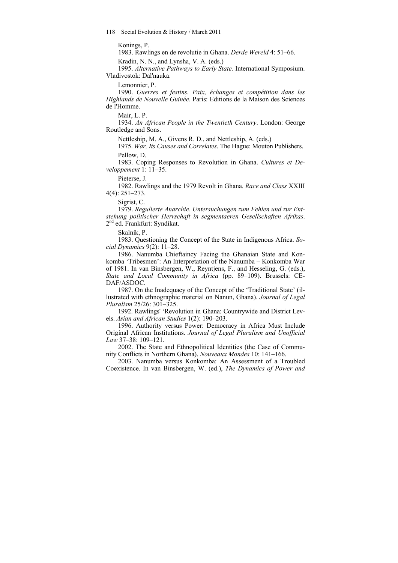Konings, P.

1983. Rawlings en de revolutie in Ghana. *Derde Wereld* 4: 51–66.

Kradin, N. N., and Lynsha, V. A. (eds.)

1995. *Alternative Pathways to Early State.* International Symposium. Vladivostok: Dal'nauka.

Lemonnier, P.

1990. *Guerres et festins. Paix, échanges et compétition dans les Highlands de Nouvelle Guinée*. Paris: Editions de la Maison des Sciences de l'Homme.

Mair, L. P.

1934. *An African People in the Twentieth Century*. London: George Routledge and Sons.

Nettleship, M. A., Givens R. D., and Nettleship, A. (eds.)

1975. *War, Its Causes and Correlates*. The Hague: Mouton Publishers. Pellow, D.

1983. Coping Responses to Revolution in Ghana. *Cultures et Developpement* 1: 11–35.

Pieterse, J.

1982. Rawlings and the 1979 Revolt in Ghana. *Race and Class* XXIII 4(4): 251–273.

Sigrist, C.

1979. *Regulierte Anarchie. Untersuchungen zum Fehlen und zur Entstehung politischer Herrschaft in segmentaeren Gesellschaften Afrikas*. 2<sup>nd</sup> ed. Frankfurt: Syndikat.

Skalník, P.

1983. Questioning the Concept of the State in Indigenous Africa. *Social Dynamics* 9(2): 11–28.

1986. Nanumba Chieftaincy Facing the Ghanaian State and Konkomba 'Tribesmen': An Interpretation of the Nanumba – Konkomba War of 1981. In van Binsbergen, W., Reyntjens, F., and Hesseling, G. (eds.), *State and Local Community in Africa* (pp. 89–109). Brussels: CE-DAF/ASDOC.

1987. On the Inadequacy of the Concept of the 'Traditional State' (illustrated with ethnographic material on Nanun, Ghana). *Journal of Legal Pluralism* 25/26: 301–325.

1992. Rawlings' 'Revolution in Ghana: Countrywide and District Levels. *Asian and African Studies* 1(2): 190–203.

1996. Authority versus Power: Democracy in Africa Must Include Original African Institutions. *Journal of Legal Pluralism and Unofficial Law* 37–38: 109–121.

2002. The State and Ethnopolitical Identities (the Case of Community Conflicts in Northern Ghana). *Nouveaux Mondes* 10: 141–166.

2003. Nanumba versus Konkomba: An Assessment of a Troubled Coexistence. In van Binsbergen, W. (ed.), *The Dynamics of Power and*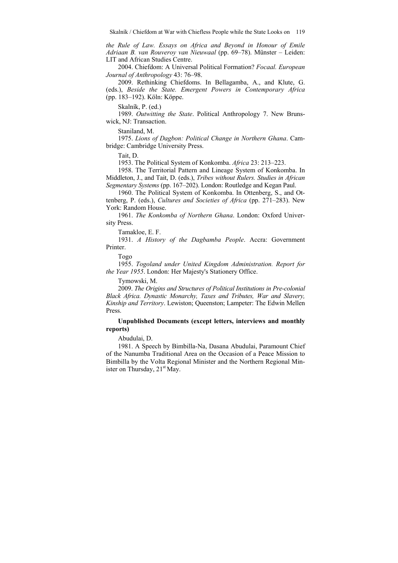*the Rule of Law. Essays on Africa and Beyond in Honour of Emile Adriaan B. van Rouveroy van Nieuwaal* (pp. 69–78). Münster – Leiden: LIT and African Studies Centre.

2004. Chiefdom: A Universal Political Formation? *Focaal. European Journal of Anthropology* 43: 76–98.

2009. Rethinking Chiefdoms. In Bellagamba, A., and Klute, G. (eds.), *Beside the State. Emergent Powers in Contemporary Africa* (pp. 183–192). Köln: Köppe.

Skalník, P. (ed.)

1989. *Outwitting the State*. Political Anthropology 7. New Brunswick, NJ: Transaction.

Staniland, M.

1975. *Lions of Dagbon: Political Change in Northern Ghana*. Cambridge: Cambridge University Press.

Tait, D.

1953. The Political System of Konkomba. *Africa* 23: 213–223.

1958. The Territorial Pattern and Lineage System of Konkomba. In Middleton, J., and Tait, D. (eds.), *Tribes without Rulers. Studies in African Segmentary Systems* (pp. 167–202). London: Routledge and Kegan Paul.

1960. The Political System of Konkomba. In Ottenberg, S., and Ottenberg, P. (eds.), *Cultures and Societies of Africa* (pp. 271–283). New York: Random House.

1961. *The Konkomba of Northern Ghana*. London: Oxford University Press.

Tamakloe, E. F.

1931. *A History of the Dagbamba People*. Accra: Government Printer.

Togo

1955. *Togoland under United Kingdom Administration. Report for the Year 1955*. London: Her Majesty's Stationery Office.

Tymowski, M.

2009. *The Origins and Structures of Political Institutions in Pre-colonial Black Africa. Dynastic Monarchy, Taxes and Tributes, War and Slavery, Kinship and Territory*. Lewiston; Queenston; Lampeter: The Edwin Mellen Press.

#### **Unpublished Documents (except letters, interviews and monthly reports)**

Abudulai, D.

1981. A Speech by Bimbilla-Na, Dasana Abudulai, Paramount Chief of the Nanumba Traditional Area on the Occasion of a Peace Mission to Bimbilla by the Volta Regional Minister and the Northern Regional Minister on Thursday,  $21<sup>st</sup>$  May.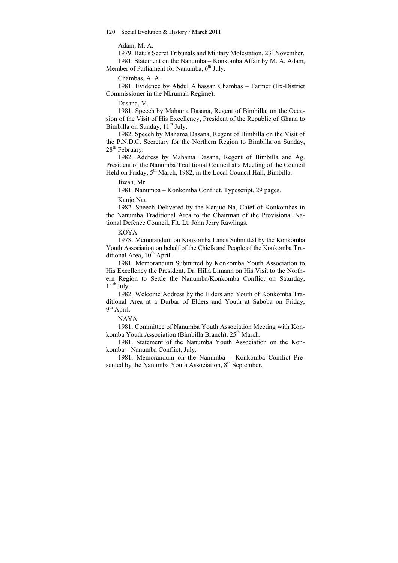#### Adam, M. A.

1979. Batu's Secret Tribunals and Military Molestation, 23<sup>d</sup> November. 1981. Statement on the Nanumba – Konkomba Affair by M. A. Adam, Member of Parliament for Nanumba,  $6<sup>th</sup>$  July.

Chambas, A. A.

1981. Evidence by Abdul Alhassan Chambas – Farmer (Ex-District Commissioner in the Nkrumah Regime).

Dasana, M.

1981. Speech by Mahama Dasana, Regent of Bimbilla, on the Occasion of the Visit of His Excellency, President of the Republic of Ghana to Bimbilla on Sunday, 11<sup>th</sup> July.

1982. Speech by Mahama Dasana, Regent of Bimbilla on the Visit of the P.N.D.C. Secretary for the Northern Region to Bimbilla on Sunday, 28<sup>th</sup> February.

1982. Address by Mahama Dasana, Regent of Bimbilla and Ag. President of the Nanumba Traditional Council at a Meeting of the Council Held on Friday, 5<sup>th</sup> March, 1982, in the Local Council Hall, Bimbilla.

Jiwah, Mr.

1981. Nanumba – Konkomba Conflict. Typescript, 29 pages.

Kanjo Naa

1982. Speech Delivered by the Kanjuo-Na, Chief of Konkombas in the Nanumba Traditional Area to the Chairman of the Provisional National Defence Council, Flt. Lt. John Jerry Rawlings.

KOYA

1978. Memorandum on Konkomba Lands Submitted by the Konkomba Youth Association on behalf of the Chiefs and People of the Konkomba Traditional Area, 10<sup>th</sup> April.

1981. Memorandum Submitted by Konkomba Youth Association to His Excellency the President, Dr. Hilla Limann on His Visit to the Northern Region to Settle the Nanumba/Konkomba Conflict on Saturday,  $11^{th}$  July.

1982. Welcome Address by the Elders and Youth of Konkomba Traditional Area at a Durbar of Elders and Youth at Saboba on Friday, 9<sup>th</sup> April.

NAYA

1981. Committee of Nanumba Youth Association Meeting with Konkomba Youth Association (Bimbilla Branch),  $25<sup>th</sup> March$ .

1981. Statement of the Nanumba Youth Association on the Konkomba – Nanumba Conflict, July.

1981. Memorandum on the Nanumba – Konkomba Conflict Presented by the Nanumba Youth Association, 8<sup>th</sup> September.